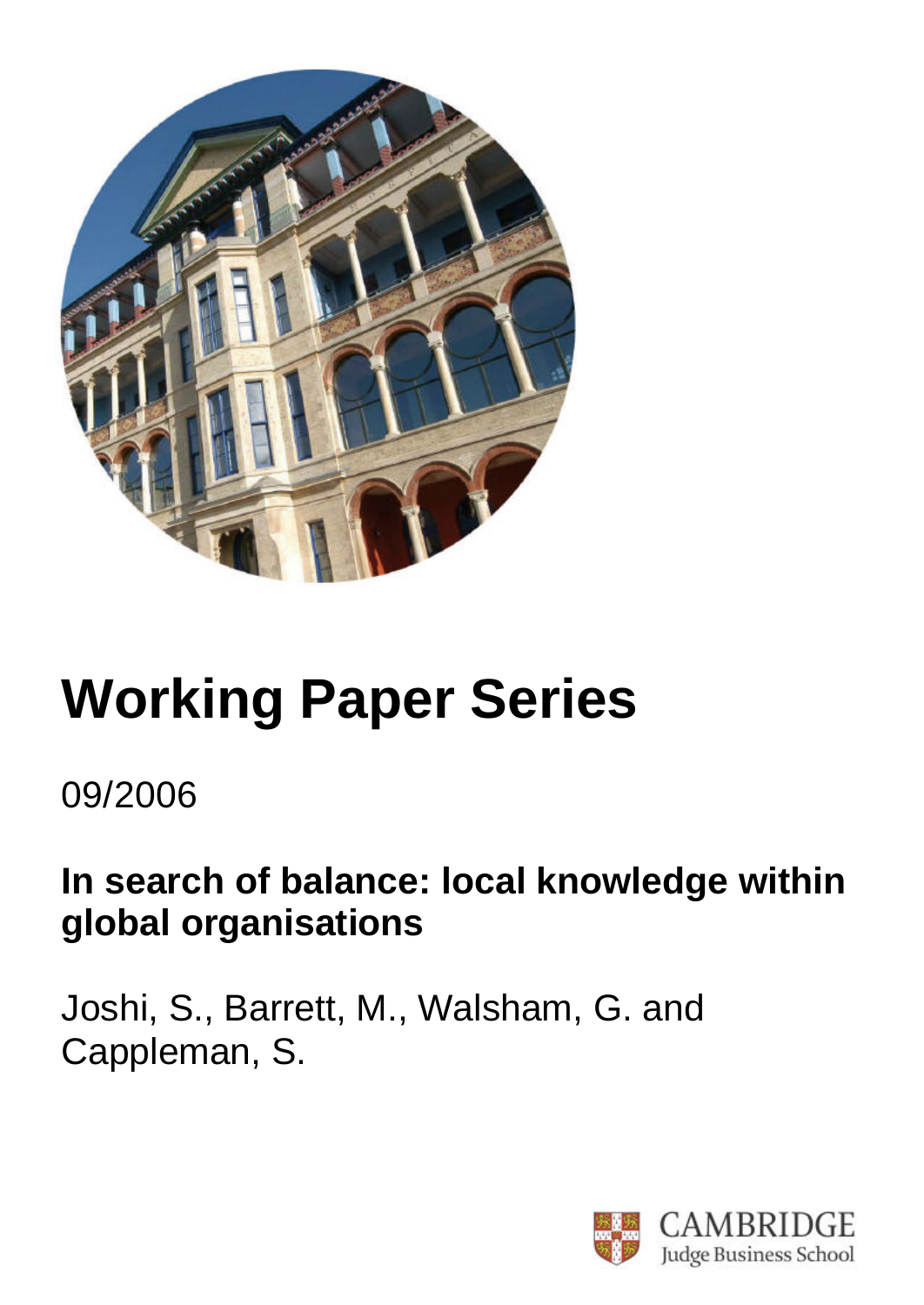

# **Working Paper Series**

## 09/2006

# **In search of balance: local knowledge within global organisations**

Joshi, S., Barrett, M., Walsham, G. and Cappleman, S.

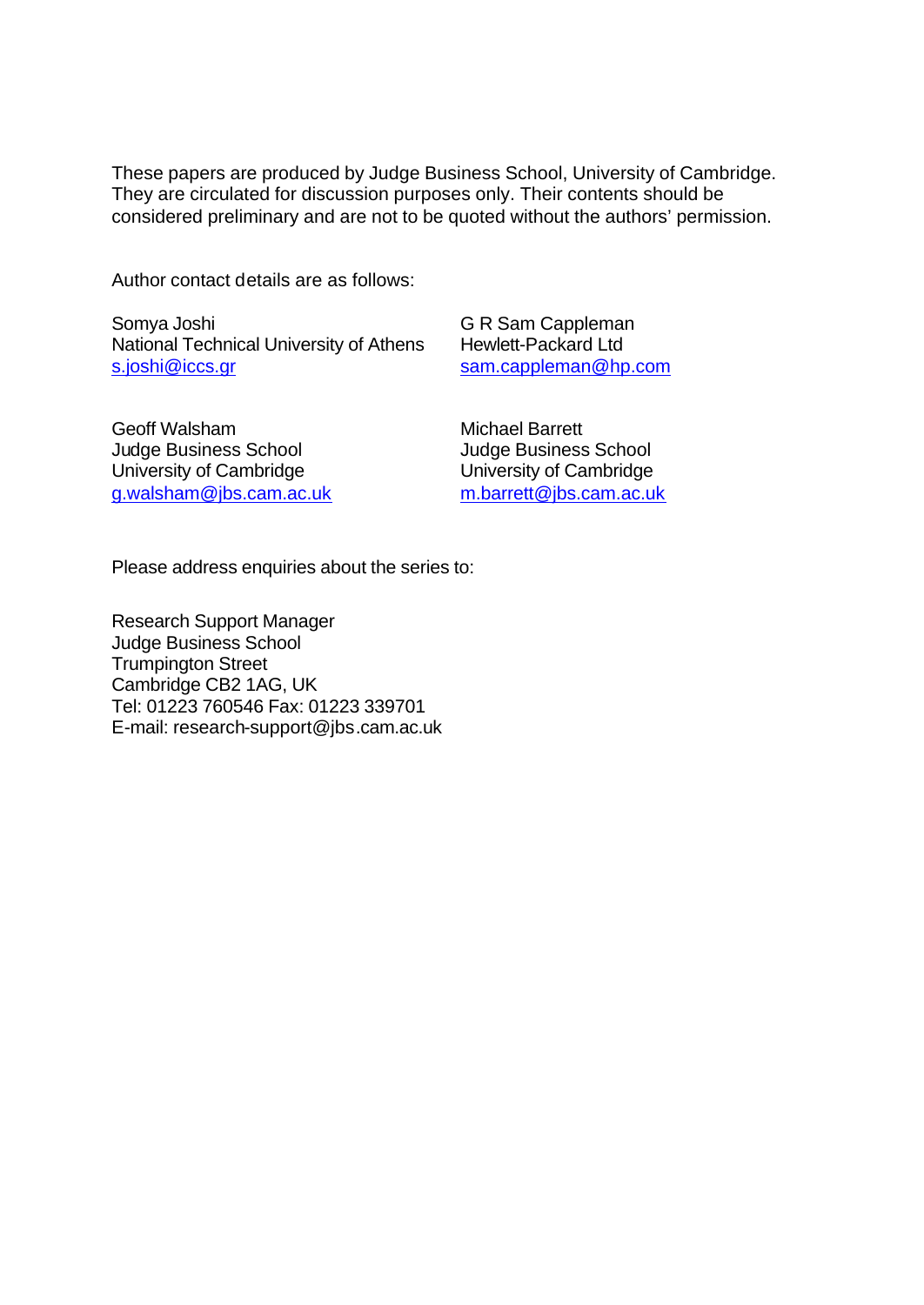These papers are produced by Judge Business School, University of Cambridge. They are circulated for discussion purposes only. Their contents should be considered preliminary and are not to be quoted without the authors' permission.

Author contact details are as follows:

Somya Joshi National Technical University of Athens s.joshi@iccs.gr

G R Sam Cappleman Hewlett-Packard Ltd sam.cappleman@hp.com

Geoff Walsham Judge Business School University of Cambridge g.walsham@jbs.cam.ac.uk Michael Barrett Judge Business School University of Cambridge m.barrett@jbs.cam.ac.uk

Please address enquiries about the series to:

Research Support Manager Judge Business School Trumpington Street Cambridge CB2 1AG, UK Tel: 01223 760546 Fax: 01223 339701 E-mail: research-support@jbs.cam.ac.uk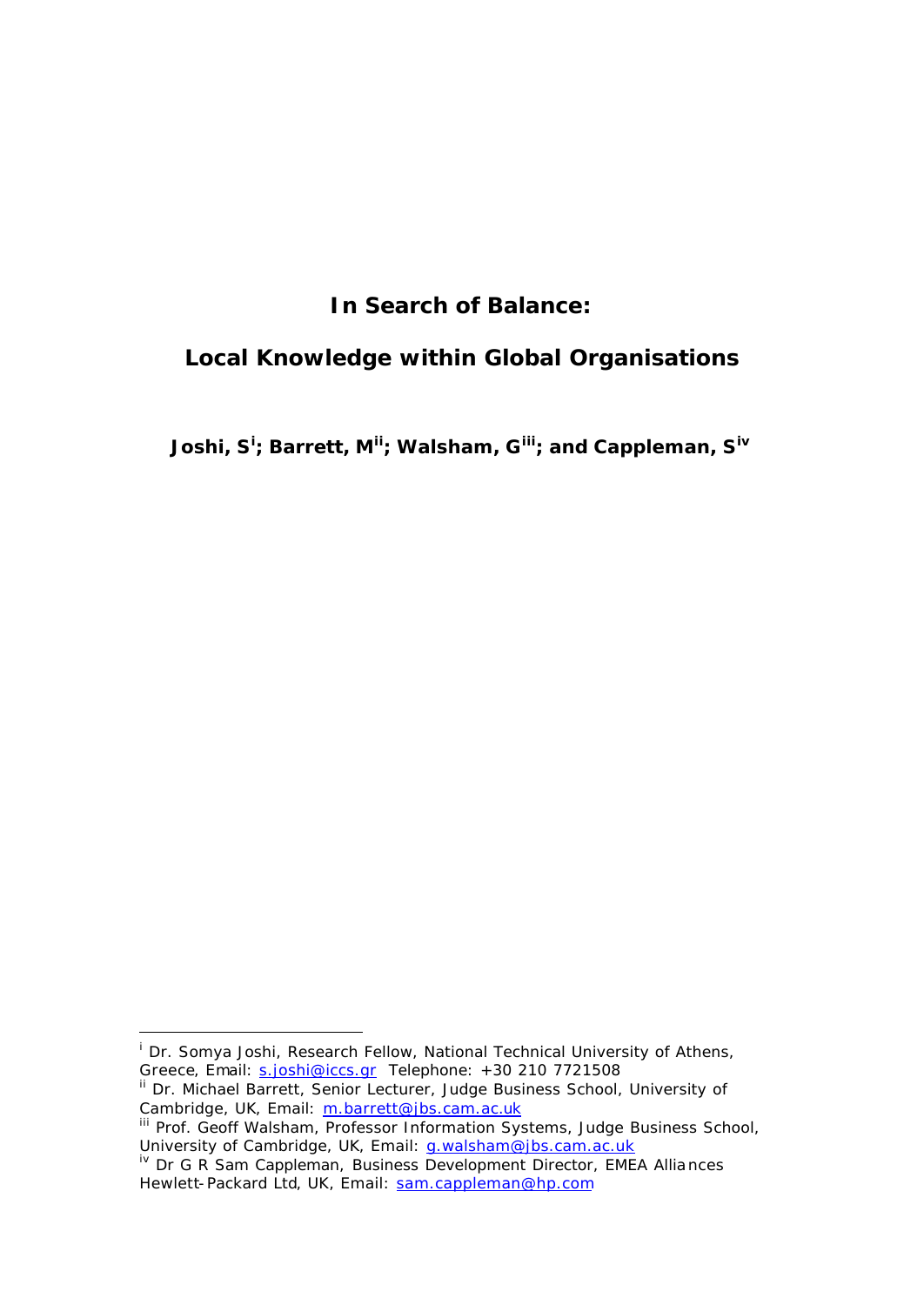### **In Search of Balance:**

### **Local Knowledge within Global Organisations**

**Joshi, S<sup>i</sup> ; Barrett, Mii; Walsham, Giii; and Cappleman, Siv**

Cambridge, UK, Email: m.barrett@jbs.cam.ac.uk

l

<sup>&</sup>lt;sup>i</sup> Dr. Somya Joshi, Research Fellow, National Technical University of Athens, Greece, Email: s.joshi@iccs.gr Telephone: +30 210 7721508 <sup>ii</sup> Dr. Michael Barrett, Senior Lecturer, Judge Business School, University of

III Prof. Geoff Walsham, Professor Information Systems, Judge Business School, University of Cambridge, UK, Email: g.walsham@jbs.cam.ac.uk

iv Dr G R Sam Cappleman, Business Development Director, EMEA Alliances Hewlett-Packard Ltd, UK, Email: sam.cappleman@hp.com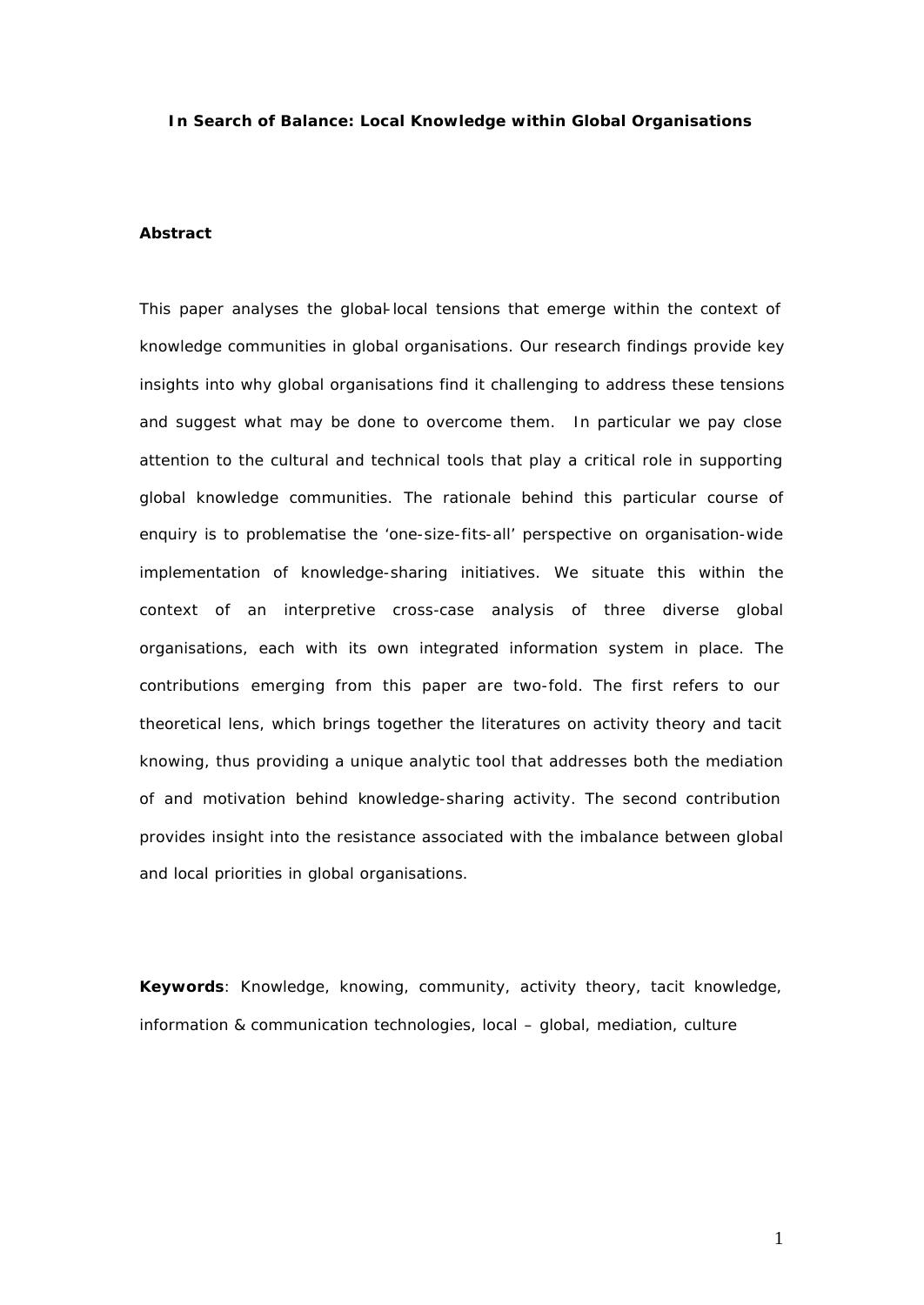#### **In Search of Balance: Local Knowledge within Global Organisations**

#### **Abstract**

This paper analyses the global-local tensions that emerge within the context of *knowledge communities in global organisations. Our research findings provide key insights into why global organisations find it challenging to address these tensions and suggest what may be done to overcome them. In particular we pay close attention to the cultural and technical tools that play a critical role in supporting global knowledge communities. The rationale behind this particular course of enquiry is to problematise the 'one-size-fits-all' perspective on organisation-wide implementation of knowledge-sharing initiatives. We situate this within the context of an interpretive cross-case analysis of three diverse global organisations, each with its own integrated information system in place. The contributions emerging from this paper are two-fold. The first refers to our theoretical lens, which brings together the literatures on activity theory and tacit knowing, thus providing a unique analytic tool that addresses both the mediation of and motivation behind knowledge-sharing activity. The second contribution provides insight into the resistance associated with the imbalance between global and local priorities in global organisations.* 

**Keywords**: Knowledge, knowing, community, activity theory, tacit knowledge, information & communication technologies, local – global, mediation, culture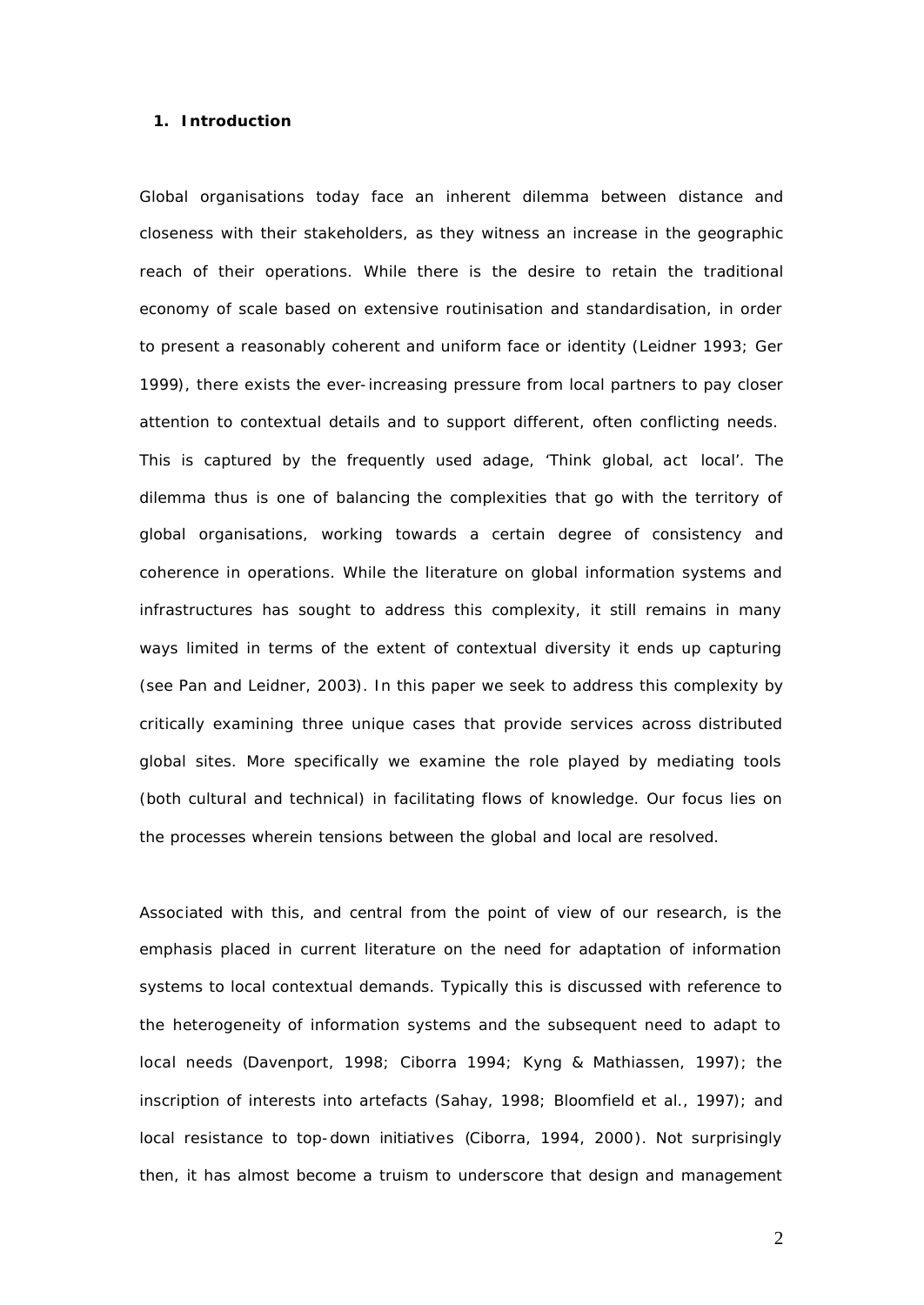#### **1. Introduction**

Global organisations today face an inherent dilemma between distance and closeness with their stakeholders, as they witness an increase in the geographic reach of their operations. While there is the desire to retain the traditional economy of scale based on extensive routinisation and standardisation, in order to present a reasonably coherent and uniform face or identity (Leidner 1993; Ger 1999), there exists the ever-increasing pressure from local partners to pay closer attention to contextual details and to support different, often conflicting needs. This is captured by the frequently used adage, 'Think *global*, act *local'*. The dilemma thus is one of balancing the complexities that go with the territory of global organisations, working towards a certain degree of consistency and coherence in operations. While the literature on global information systems and infrastructures has sought to address this complexity, it still remains in many ways limited in terms of the extent of contextual diversity it ends up capturing (see Pan and Leidner, 2003). In this paper we seek to address this complexity by critically examining three unique cases that provide services across distributed global sites. More specifically we examine the role played by mediating tools (both cultural and technical) in facilitating flows of knowledge. Our focus lies on the processes wherein tensions between the global and local are resolved.

Associated with this, and central from the point of view of our research, is the emphasis placed in current literature on the need for adaptation of information systems to local contextual demands. Typically this is discussed with reference to the heterogeneity of information systems and the subsequent need to adapt to local needs (Davenport, 1998; Ciborra 1994; Kyng & Mathiassen, 1997); the inscription of interests into artefacts (Sahay, 1998; Bloomfield et al., 1997); and local resistance to top-down initiatives (Ciborra, 1994, 2000). Not surprisingly then, it has almost become a truism to underscore that design and management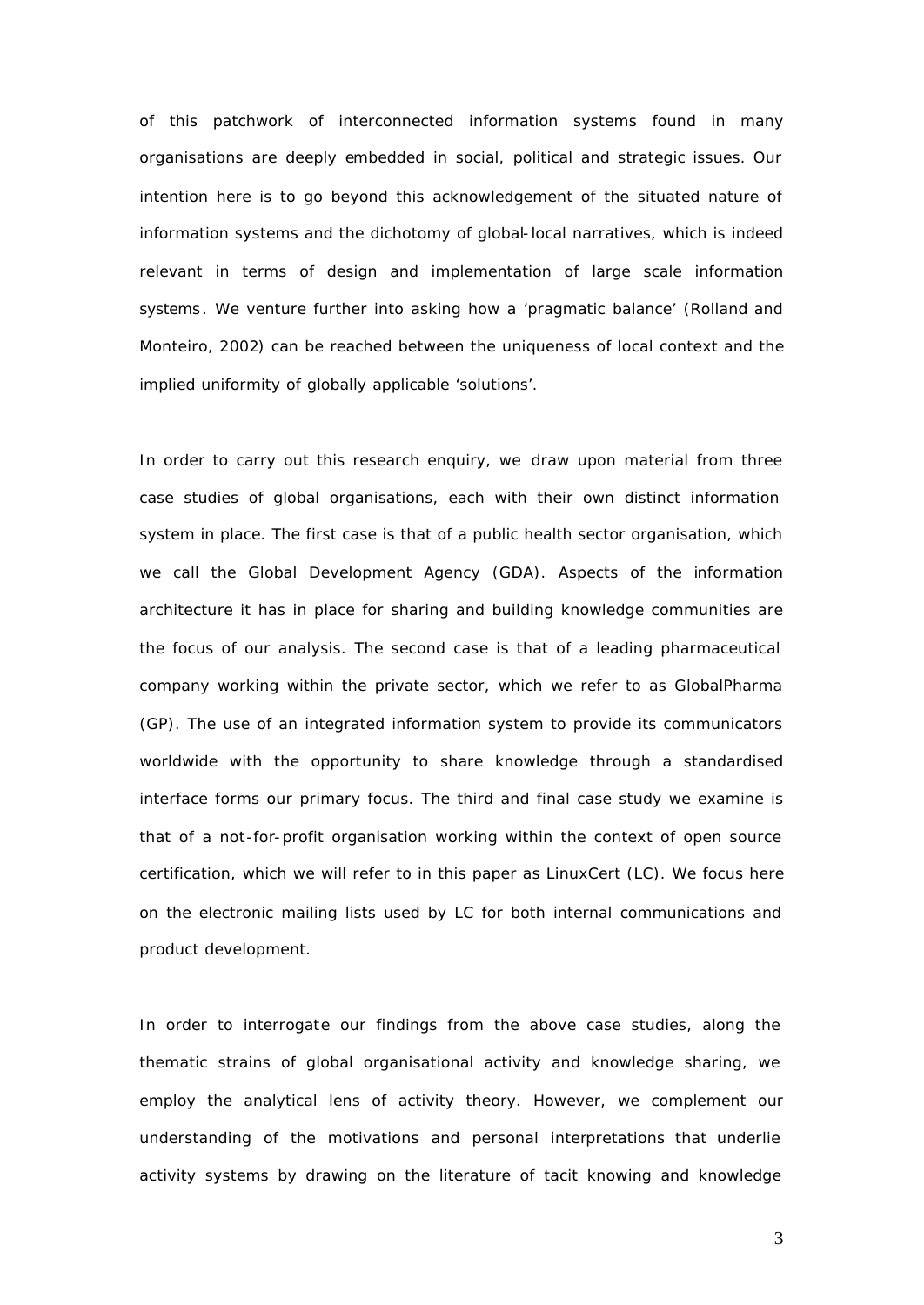of this patchwork of interconnected information systems found in many organisations are deeply embedded in social, political and strategic issues. Our intention here is to go beyond this acknowledgement of the situated nature of information systems and the dichotomy of global-local narratives, which is indeed relevant in terms of design and implementation of large scale information systems . We venture further into asking how a 'pragmatic balance' (Rolland and Monteiro, 2002) can be reached between the uniqueness of local context and the implied uniformity of globally applicable 'solutions'.

In order to carry out this research enquiry, we draw upon material from three case studies of global organisations, each with their own distinct information system in place. The first case is that of a public health sector organisation, which we call the Global Development Agency (GDA). Aspects of the information architecture it has in place for sharing and building knowledge communities are the focus of our analysis. The second case is that of a leading pharmaceutical company working within the private sector, which we refer to as GlobalPharma (GP). The use of an integrated information system to provide its communicators worldwide with the opportunity to share knowledge through a standardised interface forms our primary focus. The third and final case study we examine is that of a not-for-profit organisation working within the context of open source certification, which we will refer to in this paper as LinuxCert (LC). We focus here on the electronic mailing lists used by LC for both internal communications and product development.

In order to interrogate our findings from the above case studies, along the thematic strains of global organisational activity and knowledge sharing, we employ the analytical lens of activity theory. However, we complement our understanding of the motivations and personal interpretations that underlie activity systems by drawing on the literature of tacit knowing and knowledge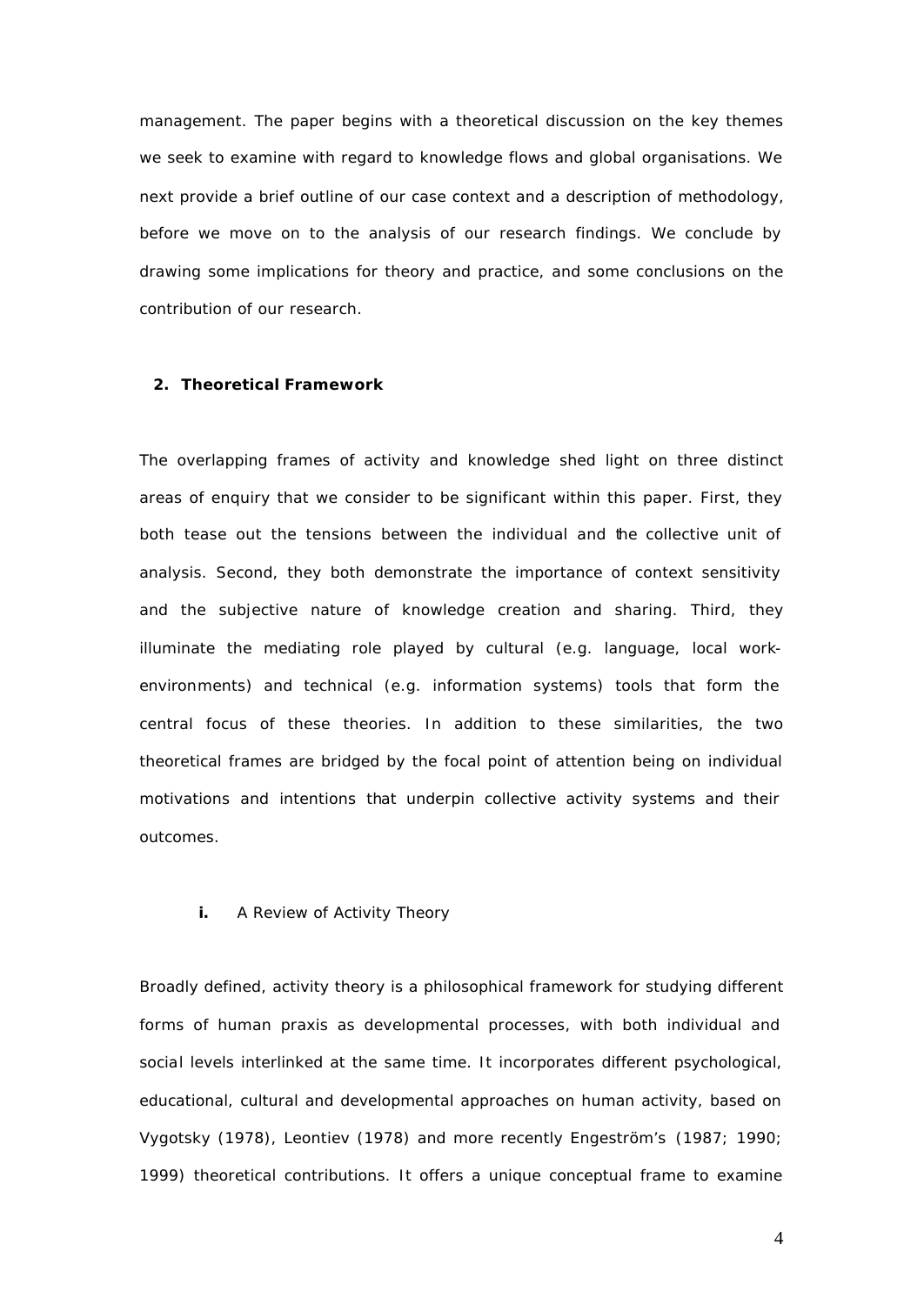management. The paper begins with a theoretical discussion on the key themes we seek to examine with regard to knowledge flows and global organisations. We next provide a brief outline of our case context and a description of methodology, before we move on to the analysis of our research findings. We conclude by drawing some implications for theory and practice, and some conclusions on the contribution of our research.

#### **2. Theoretical Framework**

The overlapping frames of activity and knowledge shed light on three distinct areas of enquiry that we consider to be significant within this paper. First, they both tease out the tensions between the individual and the collective unit of analysis. Second, they both demonstrate the importance of context sensitivity and the subjective nature of knowledge creation and sharing. Third, they illuminate the mediating role played by cultural (e.g. language, local workenvironments) and technical (e.g. information systems) tools that form the central focus of these theories. In addition to these similarities, the two theoretical frames are bridged by the focal point of attention being on individual motivations and intentions that underpin collective activity systems and their outcomes.

#### **i.** A Review of Activity Theory

Broadly defined, activity theory is a philosophical framework for studying different forms of human praxis as developmental processes, with both individual and social levels interlinked at the same time. It incorporates different psychological, educational, cultural and developmental approaches on human activity, based on Vygotsky (1978), Leontiev (1978) and more recently Engeström's (1987; 1990; 1999) theoretical contributions. It offers a unique conceptual frame to examine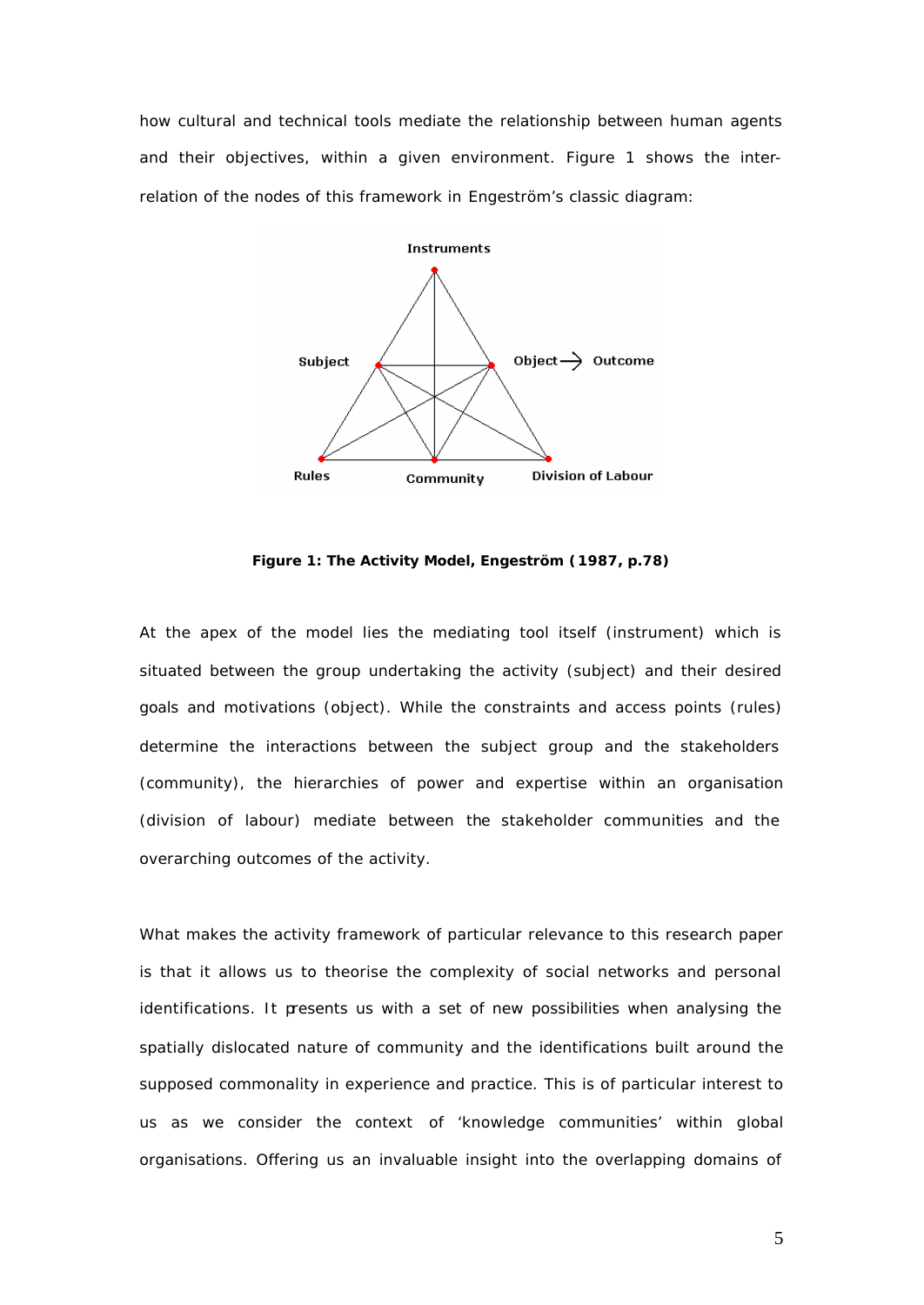how cultural and technical tools mediate the relationship between human agents and their objectives, within a given environment. Figure 1 shows the interrelation of the nodes of this framework in Engeström's classic diagram:



**Figure 1: The Activity Model, Engeström (1987, p.78)**

At the apex of the model lies the mediating tool itself (instrument) which is situated between the group undertaking the activity (subject) and their desired goals and motivations (object). While the constraints and access points (rules) determine the interactions between the subject group and the stakeholders (community), the hierarchies of power and expertise within an organisation (division of labour) mediate between the stakeholder communities and the overarching outcomes of the activity.

What makes the activity framework of particular relevance to this research paper is that it allows us to theorise the complexity of social networks and personal identifications. It presents us with a set of new possibilities when analysing the spatially dislocated nature of community and the identifications built around the supposed commonality in experience and practice. This is of particular interest to us as we consider the context of 'knowledge communities' within global organisations. Offering us an invaluable insight into the overlapping domains of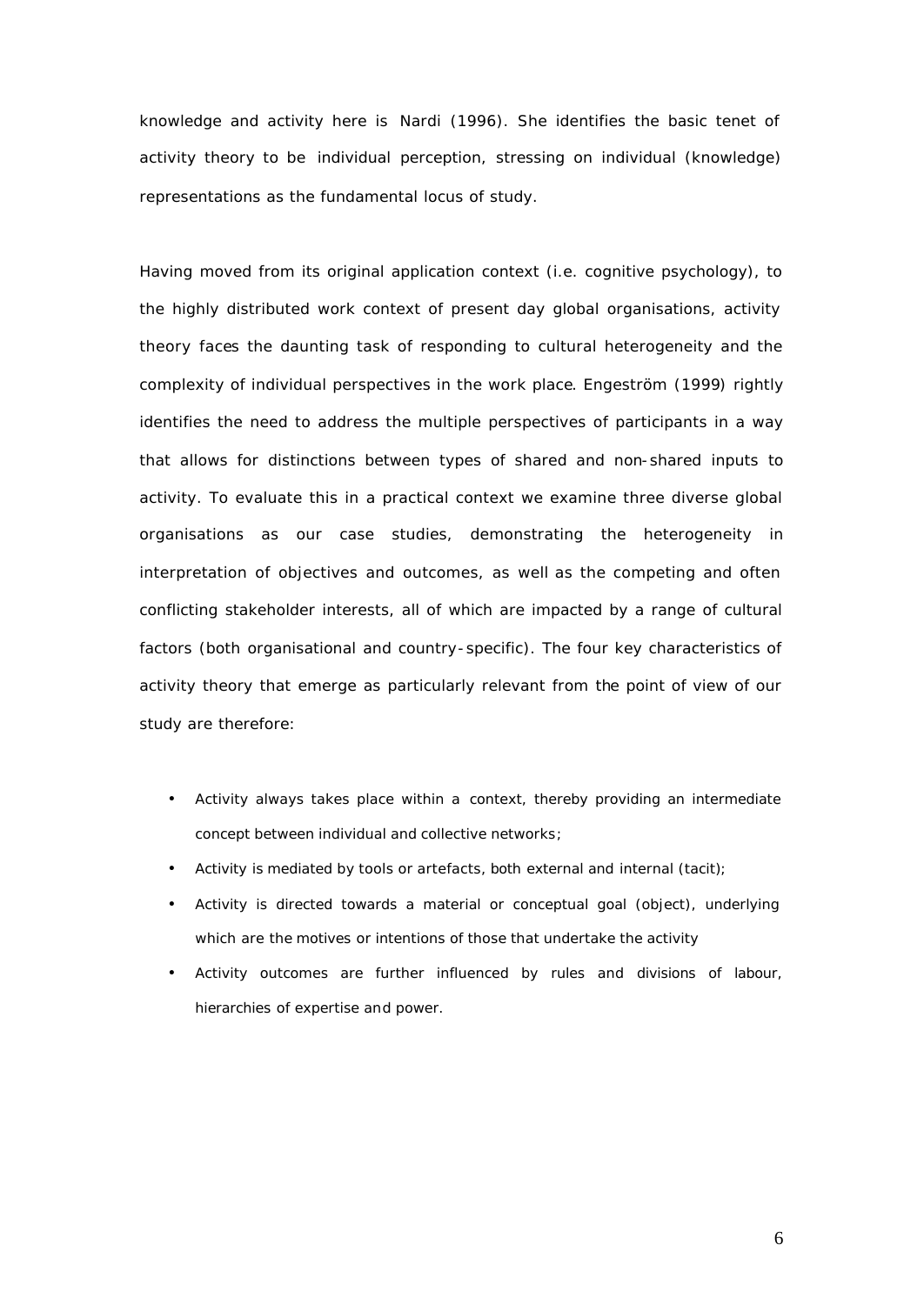knowledge and activity here is Nardi (1996). She identifies the basic tenet of activity theory to be individual perception, stressing on individual (knowledge) representations as the fundamental locus of study.

Having moved from its original application context (i.e. cognitive psychology), to the highly distributed work context of present day global organisations, activity theory faces the daunting task of responding to cultural heterogeneity and the complexity of individual perspectives in the work place. Engeström (1999) rightly identifies the need to address the multiple perspectives of participants in a way that allows for distinctions between types of shared and non-shared inputs to activity. To evaluate this in a practical context we examine three diverse global organisations as our case studies, demonstrating the heterogeneity in interpretation of objectives and outcomes, as well as the competing and often conflicting stakeholder interests, all of which are impacted by a range of cultural factors (both organisational and country-specific). The four key characteristics of activity theory that emerge as particularly relevant from the point of view of our study are therefore:

- Activity always takes place within a *context*, thereby providing an intermediate concept between individual and collective networks;
- Activity is *mediated* by tools or artefacts*,* both external and internal (tacit);
- Activity is directed towards a material or conceptual goal (object), underlying which are the *motives* or *intentions* of those that undertake the activity
- Activity outcomes are further influenced by *rules* and *divisions of labour, hierarchies* of expertise and power.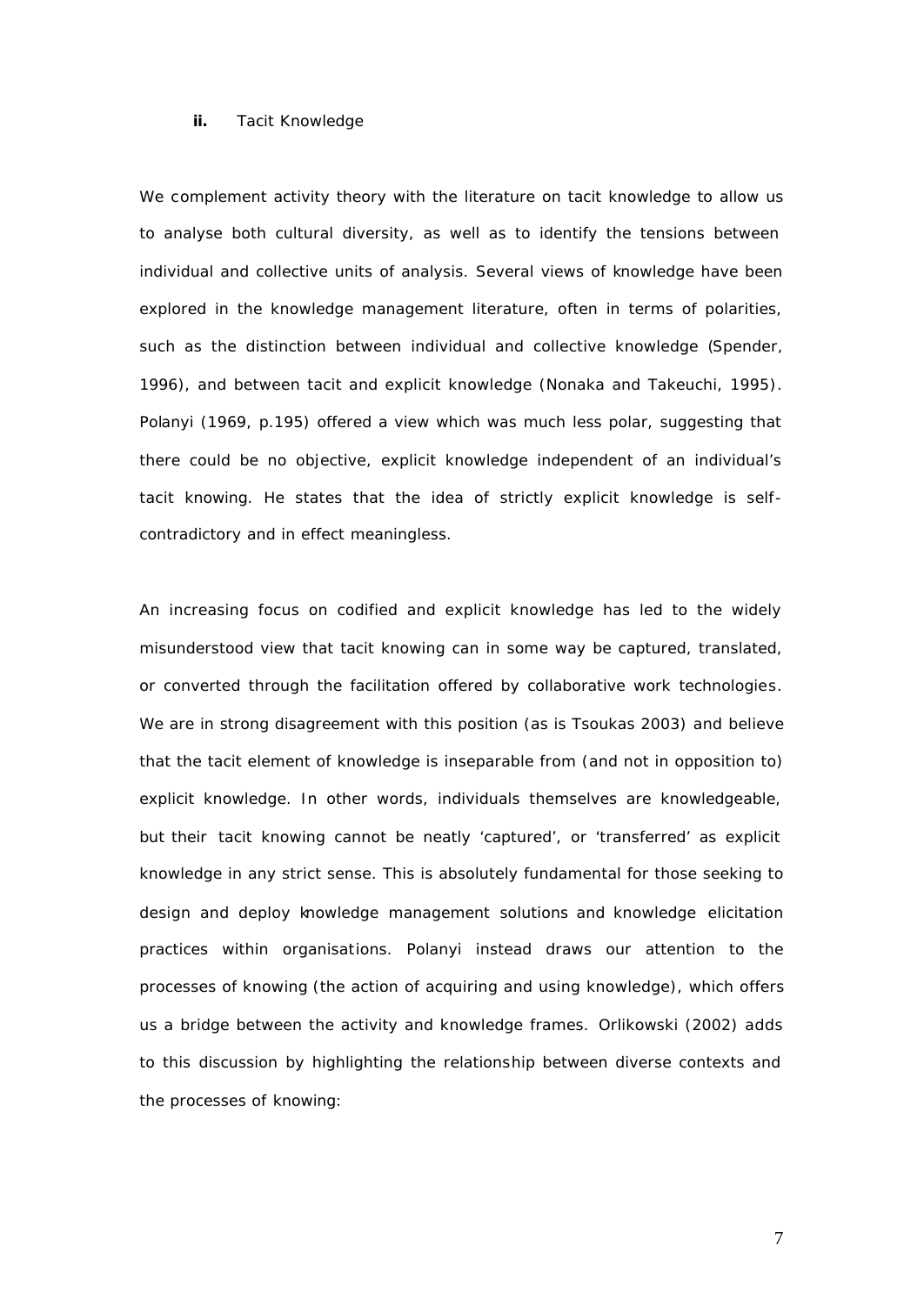#### **ii.** Tacit Knowledge

We complement activity theory with the literature on tacit knowledge to allow us to analyse both cultural diversity, as well as to identify the tensions between individual and collective units of analysis. Several views of knowledge have been explored in the knowledge management literature, often in terms of polarities, such as the distinction between individual and collective knowledge (Spender, 1996), and between tacit and explicit knowledge (Nonaka and Takeuchi, 1995). Polanyi (1969, p.195) offered a view which was much less polar, suggesting that there could be no objective, explicit knowledge independent of an individual's tacit *knowing*. He states that the idea of strictly explicit knowledge is selfcontradictory and in effect meaningless.

An increasing focus on codified and explicit knowledge has led to the widely misunderstood view that tacit knowing can in some way be captured, translated, or converted through the facilitation offered by collaborative work technologies. We are in strong disagreement with this position (as is Tsoukas 2003) and believe that the tacit element of knowledge is inseparable from (and not in opposition to) explicit knowledge. In other words, individuals themselves are knowledgeable, but their tacit knowing cannot be neatly 'captured', or 'transferred' as explicit knowledge in any strict sense. This is absolutely fundamental for those seeking to design and deploy knowledge management solutions and knowledge elicitation practices within organisations. Polanyi instead draws our attention to the processes of *knowing* (the action of acquiring and using knowledge), which offers us a bridge between the activity and knowledge frames. Orlikowski (2002) adds to this discussion by highlighting the relationship between diverse contexts and the processes of knowing: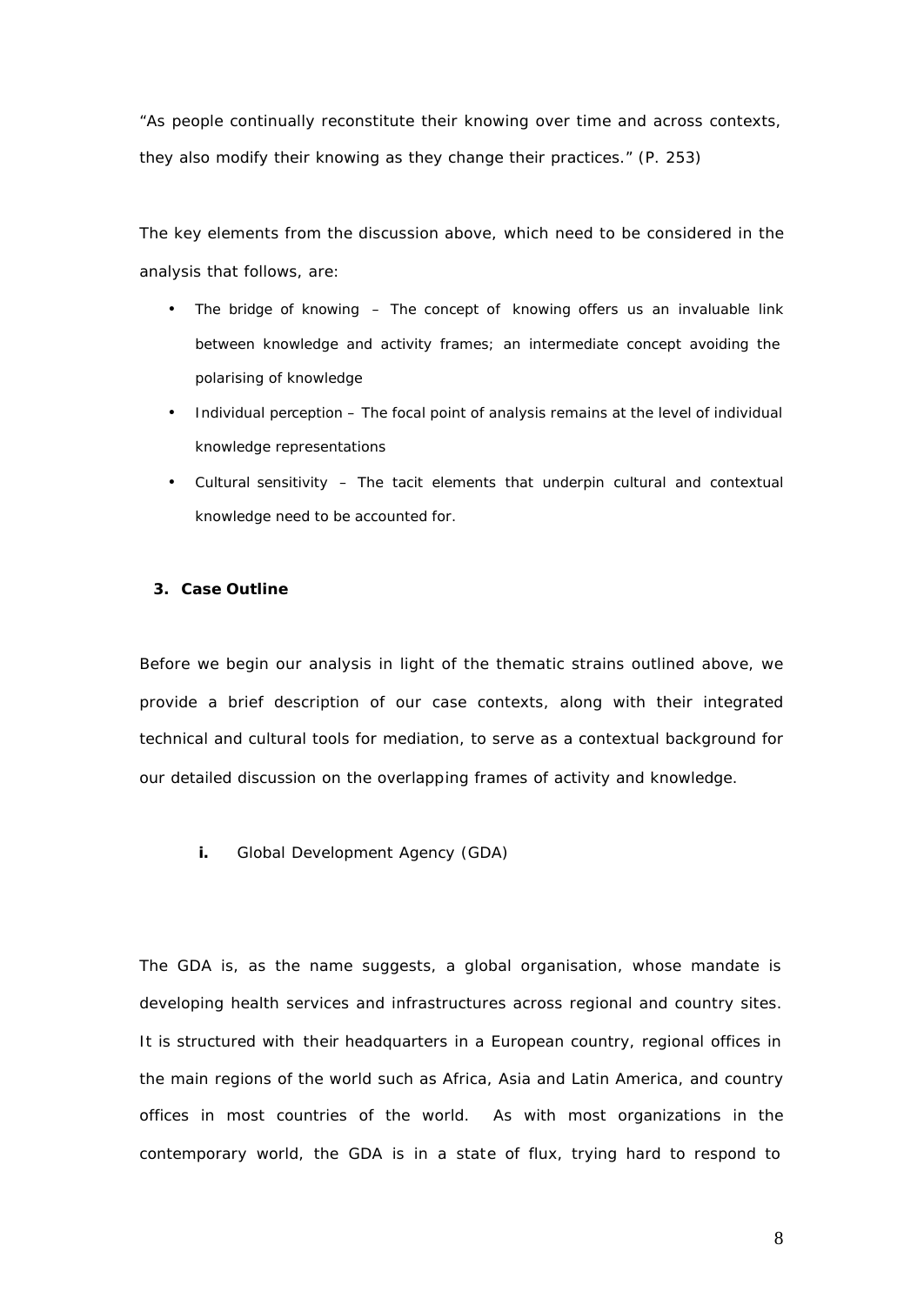*"As people continually reconstitute their knowing over time and across contexts, they also modify their knowing as they change their practices." (P. 253)*

The key elements from the discussion above, which need to be considered in the analysis that follows, are:

- *The bridge of knowing –* The concept of *knowing* offers us an invaluable link between knowledge and activity frames; an intermediate concept avoiding the polarising of knowledge
- *Individual perception –* The focal point of analysis remains at the level of individual knowledge representations
- *Cultural sensitivity –* The tacit elements that underpin cultural and contextual knowledge need to be accounted for.

#### **3. Case Outline**

Before we begin our analysis in light of the thematic strains outlined above, we provide a brief description of our case contexts, along with their integrated technical and cultural tools for mediation, to serve as a contextual background for our detailed discussion on the overlapping frames of activity and knowledge.

**i.** Global Development Agency (GDA)

The GDA is, as the name suggests, a global organisation, whose mandate is developing health services and infrastructures across regional and country sites. It is structured with their headquarters in a European country, regional offices in the main regions of the world such as Africa, Asia and Latin America, and country offices in most countries of the world. As with most organizations in the contemporary world, the GDA is in a state of flux, trying hard to respond to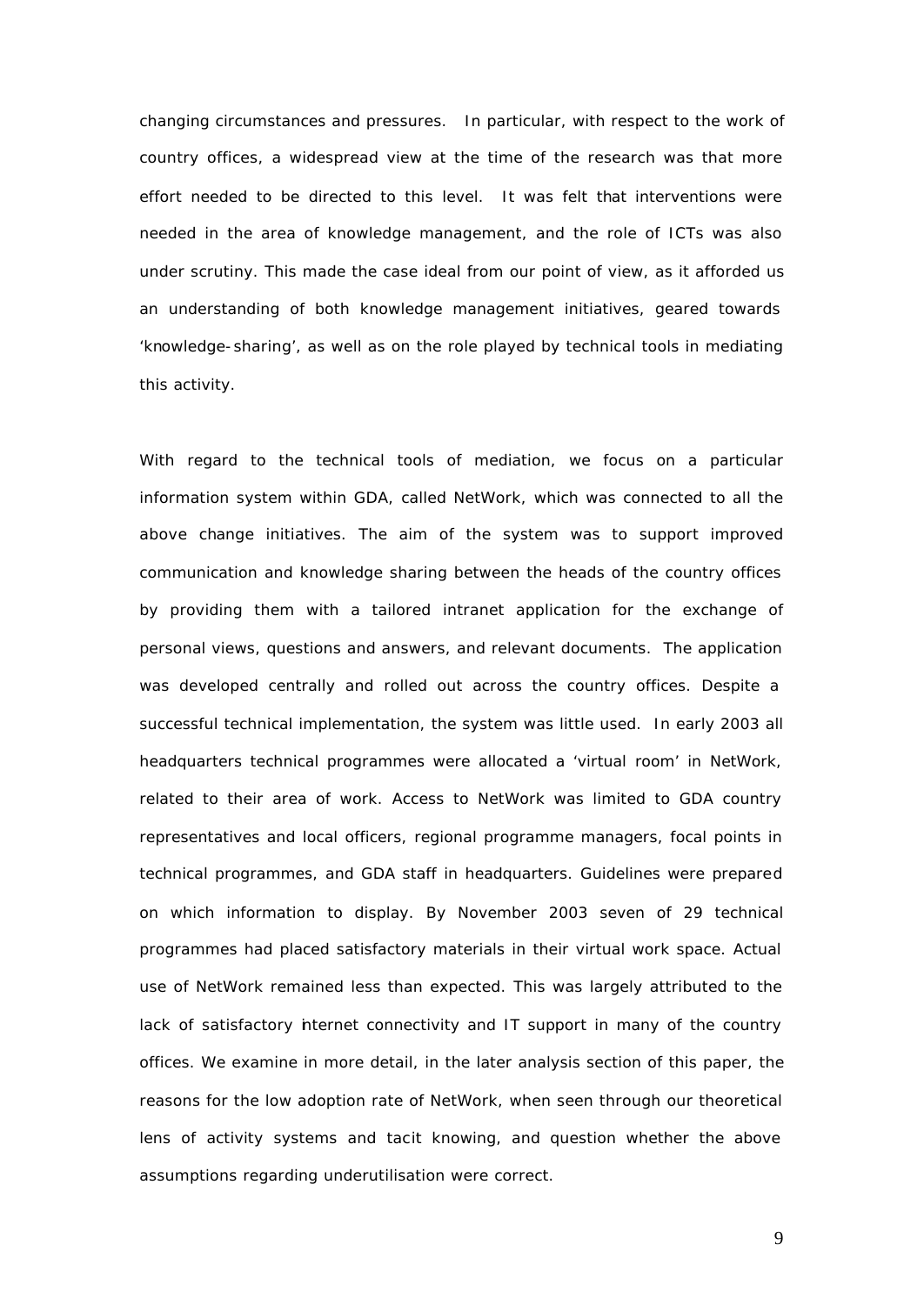changing circumstances and pressures. In particular, with respect to the work of country offices, a widespread view at the time of the research was that more effort needed to be directed to this level. It was felt that interventions were needed in the area of knowledge management, and the role of ICTs was also under scrutiny. This made the case ideal from our point of view, as it afforded us an understanding of both knowledge management initiatives, geared towards 'knowledge-sharing', as well as on the role played by technical tools in mediating this activity.

With regard to the technical tools of mediation, we focus on a particular information system within GDA, called NetWork, which was connected to all the above change initiatives. The aim of the system was to support improved communication and knowledge sharing between the heads of the country offices by providing them with a tailored intranet application for the exchange of personal views, questions and answers, and relevant documents. The application was developed centrally and rolled out across the country offices. Despite a successful technical implementation, the system was little used. In early 2003 all headquarters technical programmes were allocated a 'virtual room' in NetWork, related to their area of work. Access to NetWork was limited to GDA country representatives and local officers, regional programme managers, focal points in technical programmes, and GDA staff in headquarters. Guidelines were prepared on which information to display. By November 2003 seven of 29 technical programmes had placed satisfactory materials in their virtual work space. Actual use of NetWork remained less than expected. This was largely attributed to the lack of satisfactory internet connectivity and IT support in many of the country offices. We examine in more detail, in the later analysis section of this paper, the reasons for the low adoption rate of NetWork, when seen through our theoretical lens of activity systems and tacit knowing, and question whether the above assumptions regarding underutilisation were correct.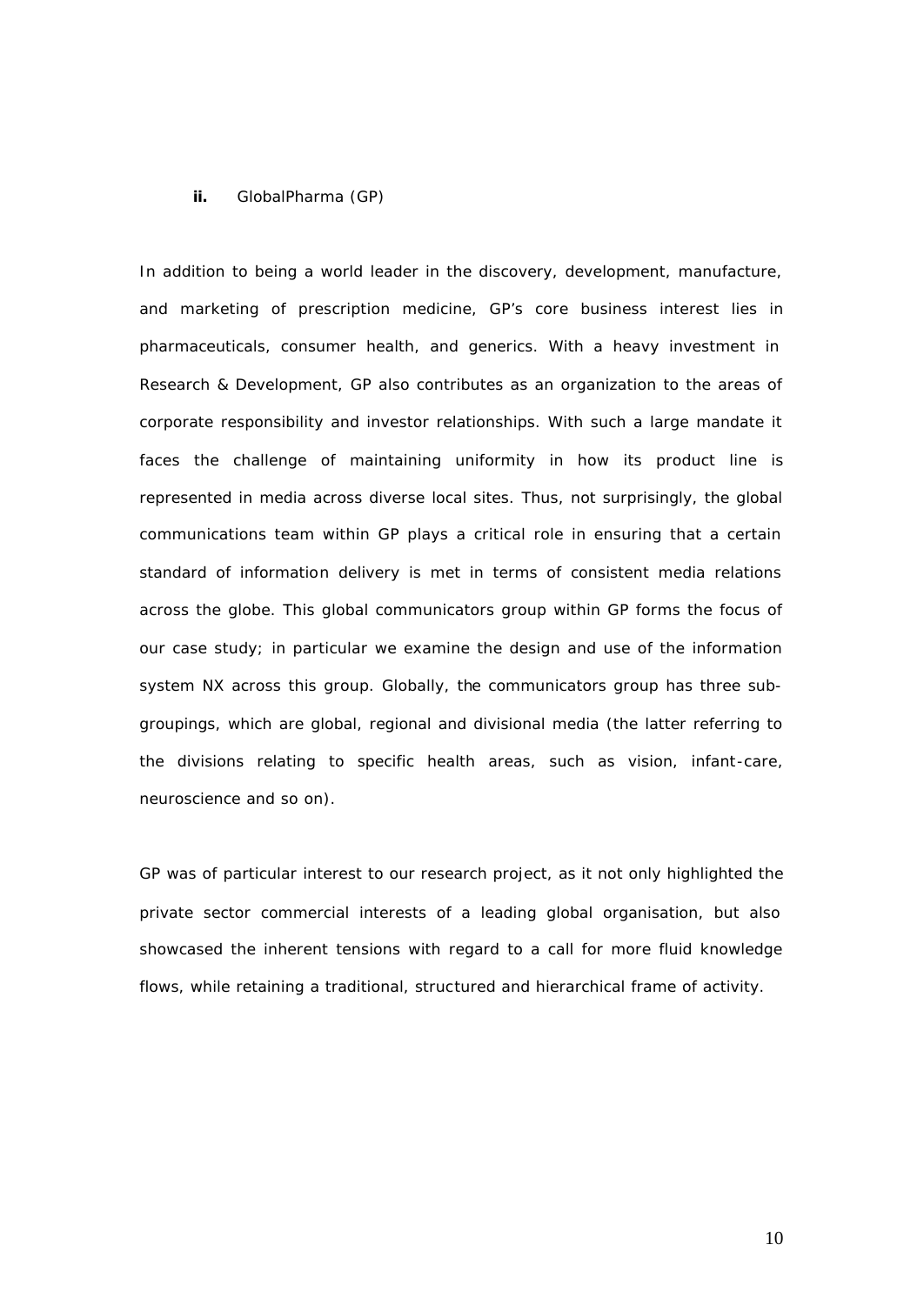#### **ii.** GlobalPharma (GP)

In addition to being a world leader in the discovery, development, manufacture, and marketing of prescription medicine, GP's core business interest lies in pharmaceuticals, consumer health, and generics. With a heavy investment in Research & Development, GP also contributes as an organization to the areas of corporate responsibility and investor relationships. With such a large mandate it faces the challenge of maintaining uniformity in how its product line is represented in media across diverse local sites. Thus, not surprisingly, the global communications team within GP plays a critical role in ensuring that a certain standard of information delivery is met in terms of consistent media relations across the globe. This global communicators group within GP forms the focus of our case study; in particular we examine the design and use of the information system NX across this group. Globally, the communicators group has three subgroupings, which are global, regional and divisional media (the latter referring to the divisions relating to specific health areas, such as vision, infant-care, neuroscience and so on).

GP was of particular interest to our research project, as it not only highlighted the private sector commercial interests of a leading global organisation, but also showcased the inherent tensions with regard to a call for more fluid knowledge flows, while retaining a traditional, structured and hierarchical frame of activity.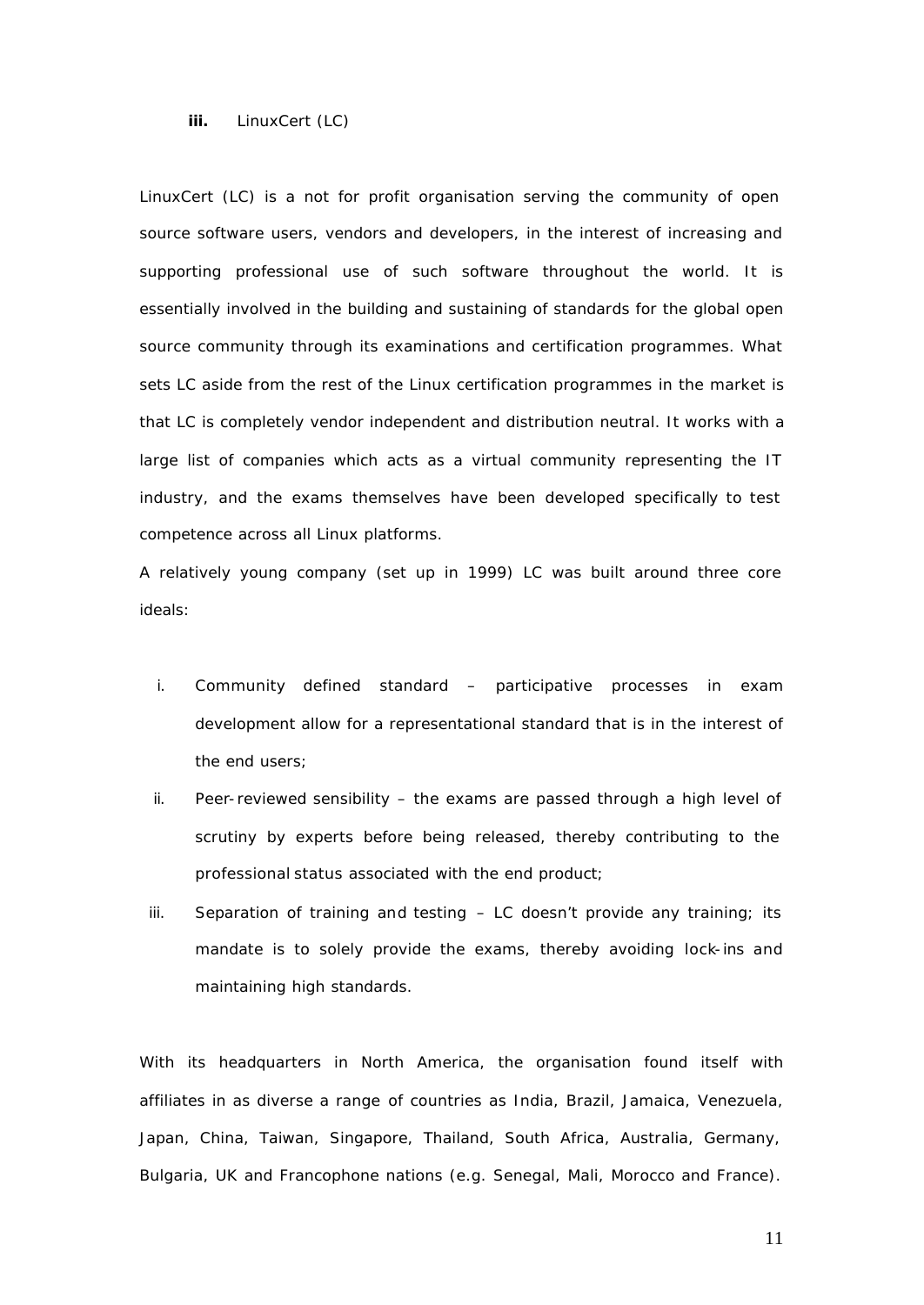#### **iii.** LinuxCert (LC)

LinuxCert (LC) is a not for profit organisation serving the community of open source software users, vendors and developers, in the interest of increasing and supporting professional use of such software throughout the world. It is essentially involved in the building and sustaining of standards for the global open source community through its examinations and certification programmes. What sets LC aside from the rest of the Linux certification programmes in the market is that LC is completely vendor independent and distribution neutral. It works with a large list of companies which acts as a virtual community representing the IT industry, and the exams themselves have been developed specifically to test competence across all Linux platforms.

A relatively young company (set up in 1999) LC was built around three core ideals:

- i. Community defined standard participative processes in exam development allow for a representational standard that is in the interest of the end users;
- ii. Peer-reviewed sensibility the exams are passed through a high level of scrutiny by experts before being released, thereby contributing to the professional status associated with the end product;
- iii. Separation of training and testing  $-$  LC doesn't provide any training; its mandate is to solely provide the exams, thereby avoiding lock-ins and maintaining high standards.

With its headquarters in North America, the organisation found itself with affiliates in as diverse a range of countries as India, Brazil, Jamaica, Venezuela, Japan, China, Taiwan, Singapore, Thailand, South Africa, Australia, Germany, Bulgaria, UK and Francophone nations (e.g. Senegal, Mali, Morocco and France).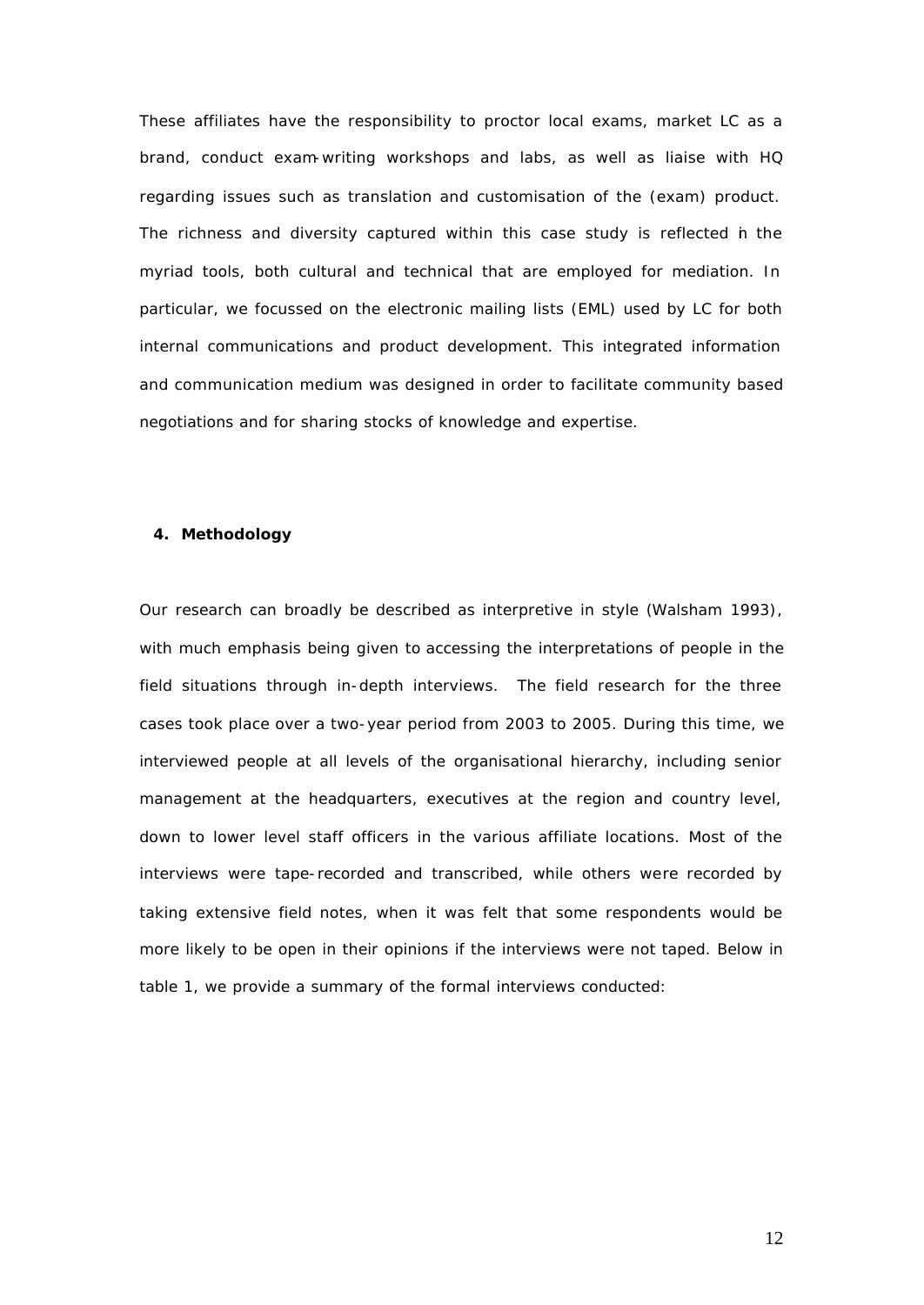These affiliates have the responsibility to proctor local exams, market LC as a brand, conduct exam-writing workshops and labs, as well as liaise with HQ regarding issues such as translation and customisation of the (exam) product. The richness and diversity captured within this case study is reflected in the myriad tools, both cultural and technical that are employed for mediation. In particular, we focussed on the electronic mailing lists (EML) used by LC for both internal communications and product development. This integrated information and communication medium was designed in order to facilitate community based negotiations and for sharing stocks of knowledge and expertise.

#### **4. Methodology**

Our research can broadly be described as interpretive in style (Walsham 1993), with much emphasis being given to accessing the interpretations of people in the field situations through in-depth interviews. The field research for the three cases took place over a two-year period from 2003 to 2005. During this time, we interviewed people at all levels of the organisational hierarchy, including senior management at the headquarters, executives at the region and country level, down to lower level staff officers in the various affiliate locations. Most of the interviews were tape-recorded and transcribed, while others were recorded by taking extensive field notes, when it was felt that some respondents would be more likely to be open in their opinions if the interviews were not taped. Below in table 1, we provide a summary of the formal interviews conducted: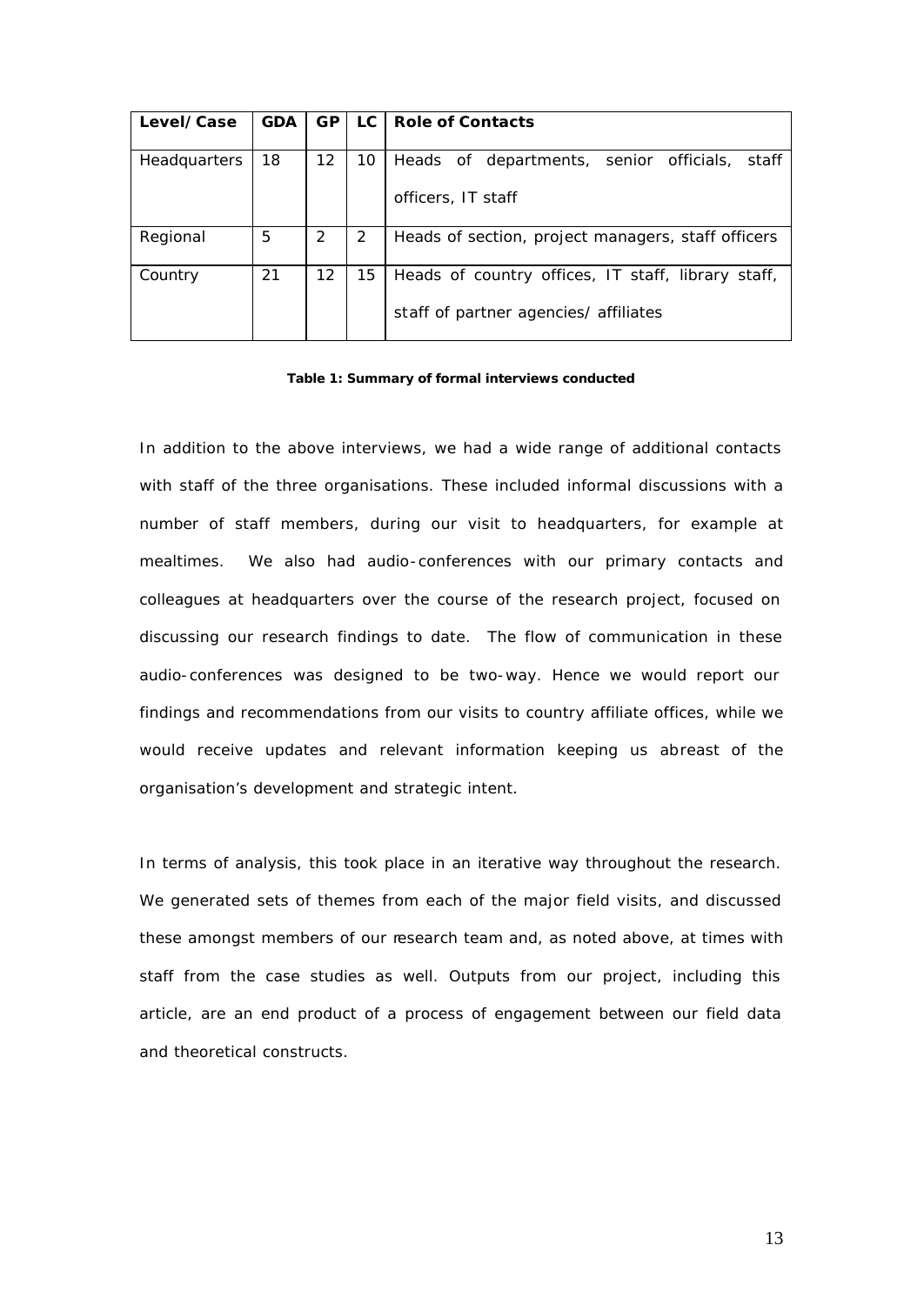| Level/Case          | <b>GDA</b> | <b>GP</b> | LC | <b>Role of Contacts</b>                            |
|---------------------|------------|-----------|----|----------------------------------------------------|
|                     |            |           |    |                                                    |
| <b>Headquarters</b> | 18         | 12        | 10 | Heads of departments, senior officials, staff      |
|                     |            |           |    | officers, IT staff                                 |
| Regional            | 5          |           | 2  | Heads of section, project managers, staff officers |
| Country             | 21         | 12        | 15 | Heads of country offices, IT staff, library staff, |
|                     |            |           |    | staff of partner agencies/ affiliates              |

#### **Table 1: Summary of formal interviews conducted**

In addition to the above interviews, we had a wide range of additional contacts with staff of the three organisations. These included informal discussions with a number of staff members, during our visit to headquarters, for example at mealtimes. We also had audio-conferences with our primary contacts and colleagues at headquarters over the course of the research project, focused on discussing our research findings to date. The flow of communication in these audio-conferences was designed to be two-way. Hence we would report our findings and recommendations from our visits to country affiliate offices, while we would receive updates and relevant information keeping us abreast of the organisation's development and strategic intent.

In terms of analysis, this took place in an iterative way throughout the research. We generated sets of themes from each of the major field visits, and discussed these amongst members of our research team and, as noted above, at times with staff from the case studies as well. Outputs from our project, including this article, are an end product of a process of engagement between our field data and theoretical constructs.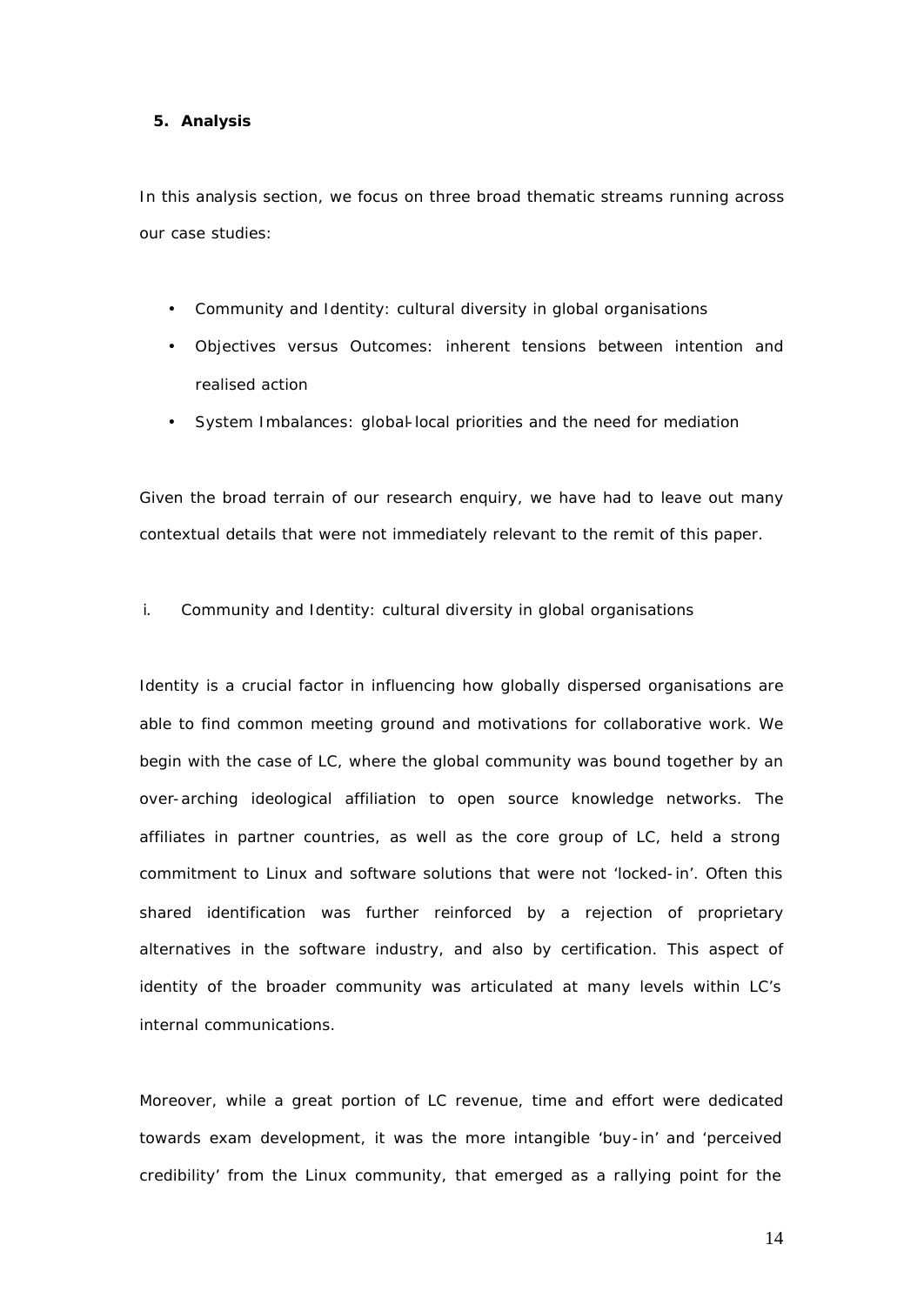#### **5. Analysis**

In this analysis section, we focus on three broad thematic streams running across our case studies:

- Community and Identity: cultural diversity in global organisations
- Objectives versus Outcomes: inherent tensions between intention and realised action
- System Imbalances: global-local priorities and the need for mediation

Given the broad terrain of our research enquiry, we have had to leave out many contextual details that were not immediately relevant to the remit of this paper.

i. Community and Identity: cultural diversity in global organisations

Identity is a crucial factor in influencing how globally dispersed organisations are able to find common meeting ground and motivations for collaborative work. We begin with the case of LC, where the global community was bound together by an over-arching ideological affiliation to open source knowledge networks. The affiliates in partner countries, as well as the core group of LC, held a strong commitment to Linux and software solutions that were not 'locked-in'. Often this shared identification was further reinforced by a rejection of proprietary alternatives in the software industry, and also by certification. This aspect of identity of the broader community was articulated at many levels within LC's internal communications.

Moreover, while a great portion of LC revenue, time and effort were dedicated towards exam development, it was the more intangible 'buy-in' and 'perceived credibility' from the Linux community, that emerged as a rallying point for the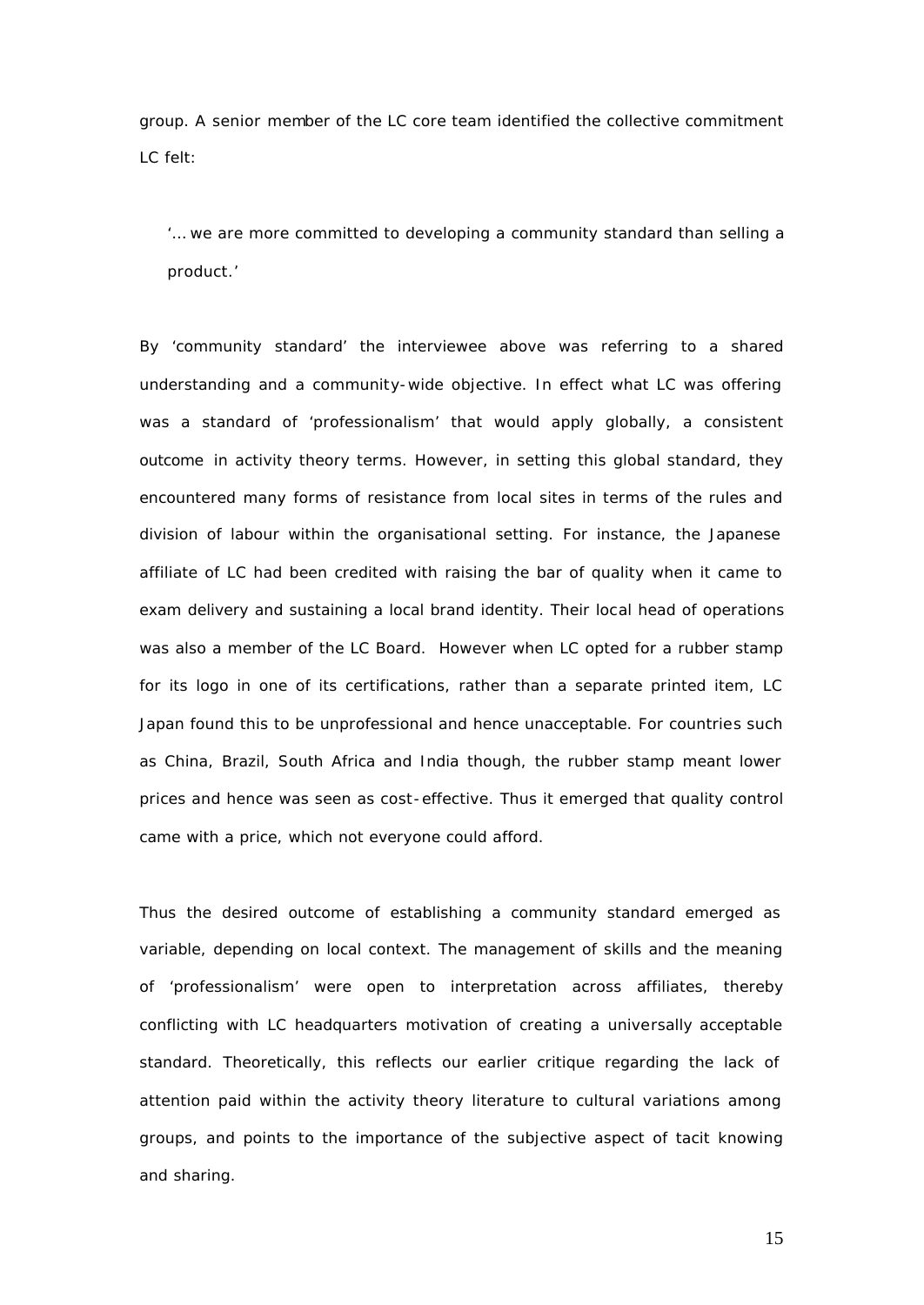group. A senior member of the LC core team identified the collective commitment LC felt:

*'… we are more committed to developing a community standard than selling a product.'*

By 'community standard' the interviewee above was referring to a shared understanding and a community-wide objective. In effect what LC was offering was a standard of 'professionalism' that would apply globally, a consistent outcome in activity theory terms. However, in setting this global standard, they encountered many forms of resistance from local sites in terms of the rules and division of labour within the organisational setting. For instance, the Japanese affiliate of LC had been credited with raising the bar of quality when it came to exam delivery and sustaining a local brand identity. Their local head of operations was also a member of the LC Board. However when LC opted for a rubber stamp for its logo in one of its certifications, rather than a separate printed item, LC Japan found this to be unprofessional and hence unacceptable. For countries such as China, Brazil, South Africa and India though, the rubber stamp meant lower prices and hence was seen as cost-effective. Thus it emerged that quality control came with a price, which not everyone could afford.

Thus the desired outcome of establishing a community standard emerged as variable, depending on local context. The management of skills and the meaning of 'professionalism' were open to interpretation across affiliates, thereby conflicting with LC headquarters motivation of creating a universally acceptable standard. Theoretically, this reflects our earlier critique regarding the lack of attention paid within the activity theory literature to cultural variations among groups, and points to the importance of the subjective aspect of tacit knowing and sharing.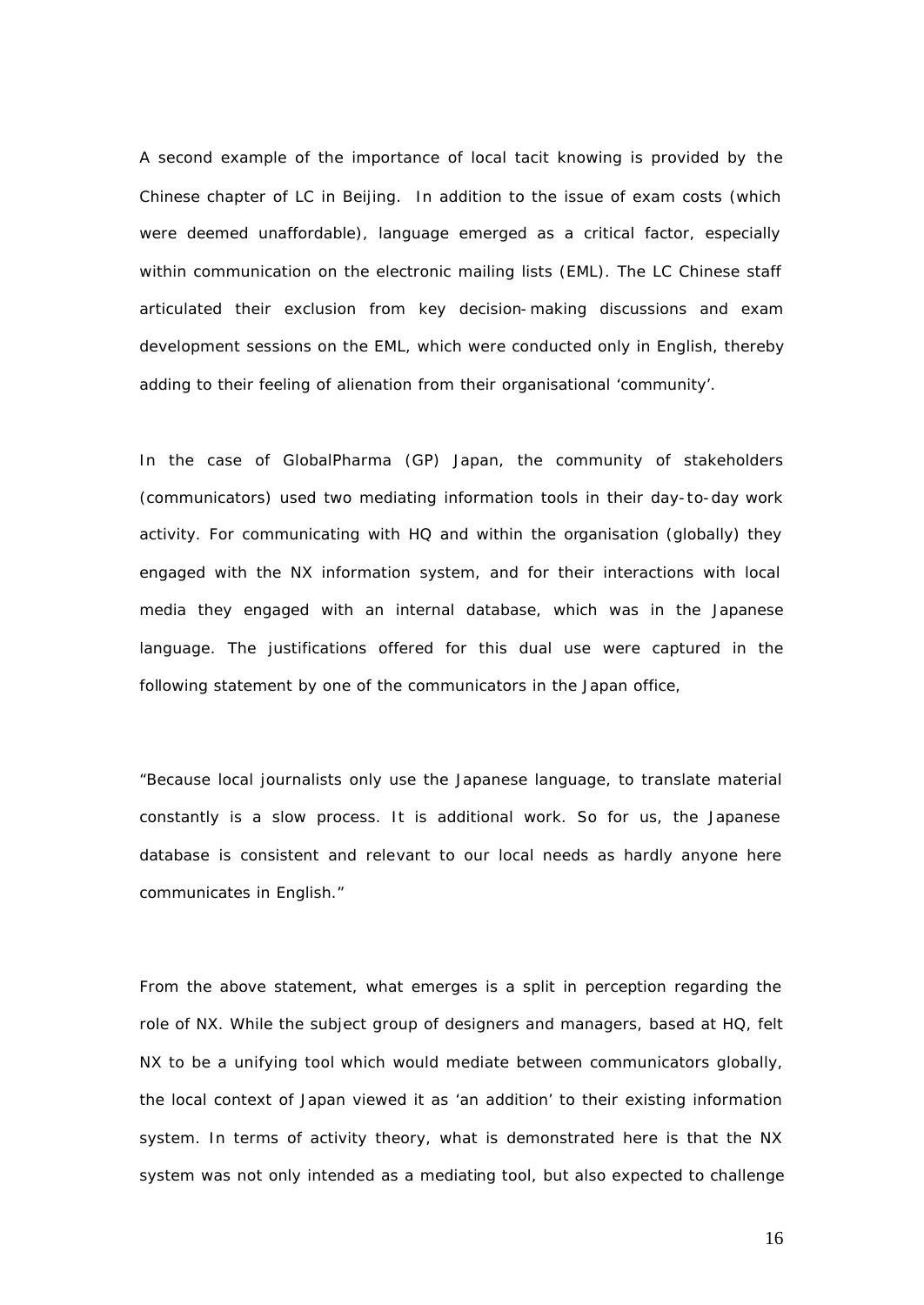A second example of the importance of local tacit knowing is provided by the Chinese chapter of LC in Beijing. In addition to the issue of exam costs (which were deemed unaffordable), language emerged as a critical factor, especially within communication on the electronic mailing lists (EML). The LC Chinese staff articulated their exclusion from key decision-making discussions and exam development sessions on the EML, which were conducted only in English, thereby adding to their feeling of alienation from their organisational 'community'.

In the case of GlobalPharma (GP) Japan, the community of stakeholders (communicators) used two mediating information tools in their day-to-day work activity. For communicating with HQ and within the organisation (globally) they engaged with the NX information system, and for their interactions with local media they engaged with an internal database, which was in the Japanese language. The justifications offered for this dual use were captured in the following statement by one of the communicators in the Japan office,

"*Because local journalists only use the Japanese language, to translate material constantly is a slow process. It is additional work. So for us, the Japanese database is consistent and relevant to our local needs as hardly anyone here communicates in English.*"

From the above statement, what emerges is a split in perception regarding the role of NX. While the subject group of designers and managers, based at HQ, felt NX to be a unifying tool which would mediate between communicators globally, the local context of Japan viewed it as 'an addition' to their existing information system. In terms of activity theory, what is demonstrated here is that the NX system was not only intended as a mediating tool, but also expected to challenge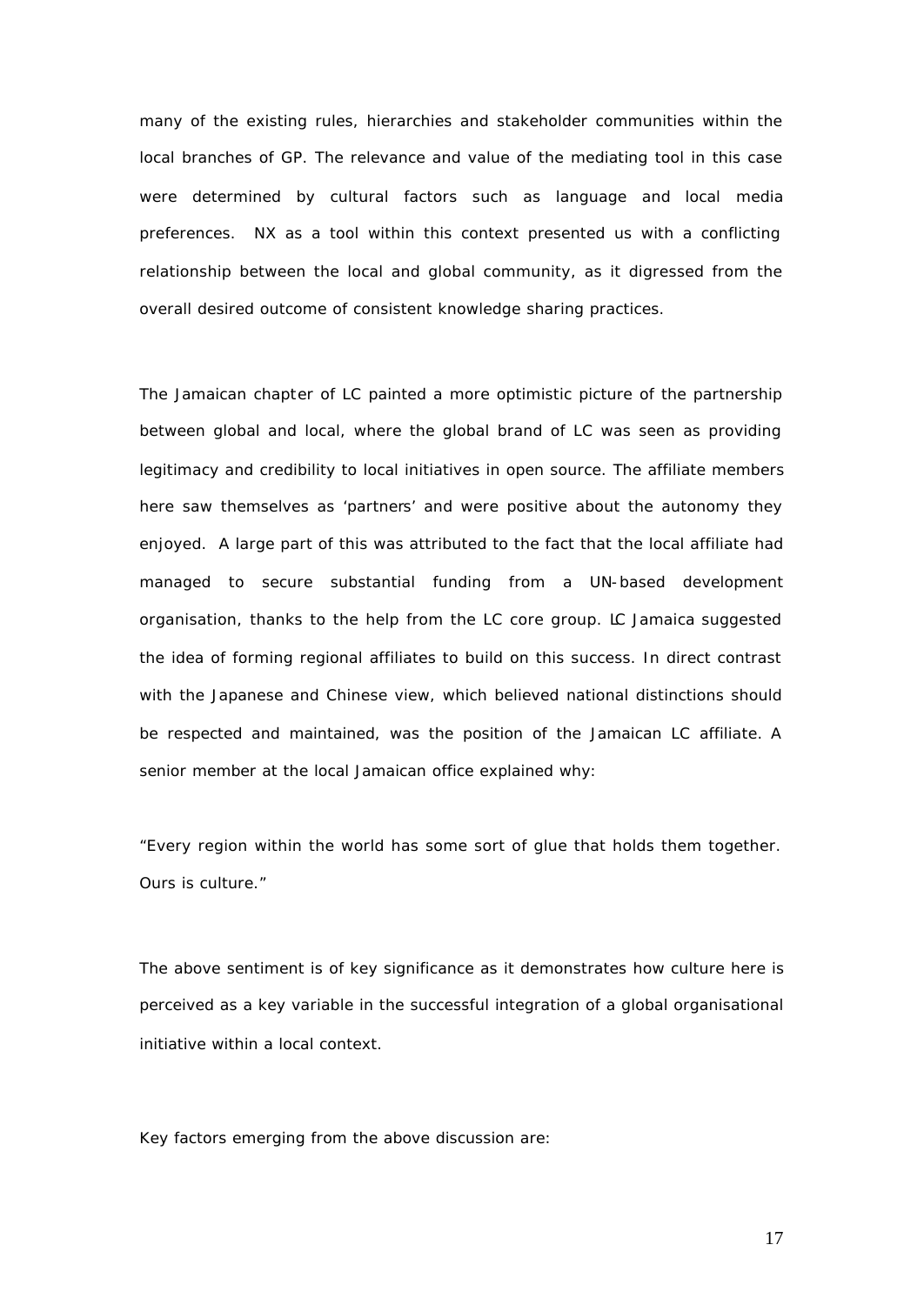many of the existing rules, hierarchies and stakeholder communities within the local branches of GP. The relevance and value of the mediating tool in this case were determined by cultural factors such as language and local media preferences. NX as a tool within this context presented us with a conflicting relationship between the local and global community, as it digressed from the overall desired outcome of consistent knowledge sharing practices.

The Jamaican chapter of LC painted a more optimistic picture of the partnership between global and local, where the global brand of LC was seen as providing legitimacy and credibility to local initiatives in open source. The affiliate members here saw themselves as 'partners' and were positive about the autonomy they enjoyed. A large part of this was attributed to the fact that the local affiliate had managed to secure substantial funding from a UN-based development organisation, thanks to the help from the LC core group. LC Jamaica suggested the idea of forming regional affiliates to build on this success. In direct contrast with the Japanese and Chinese view, which believed national distinctions should be respected and maintained, was the position of the Jamaican LC affiliate. A senior member at the local Jamaican office explained why:

*"Every region within the world has some sort of glue that holds them together. Ours is culture."* 

The above sentiment is of key significance as it demonstrates how culture here is perceived as a key variable in the successful integration of a global organisational initiative within a local context.

Key factors emerging from the above discussion are: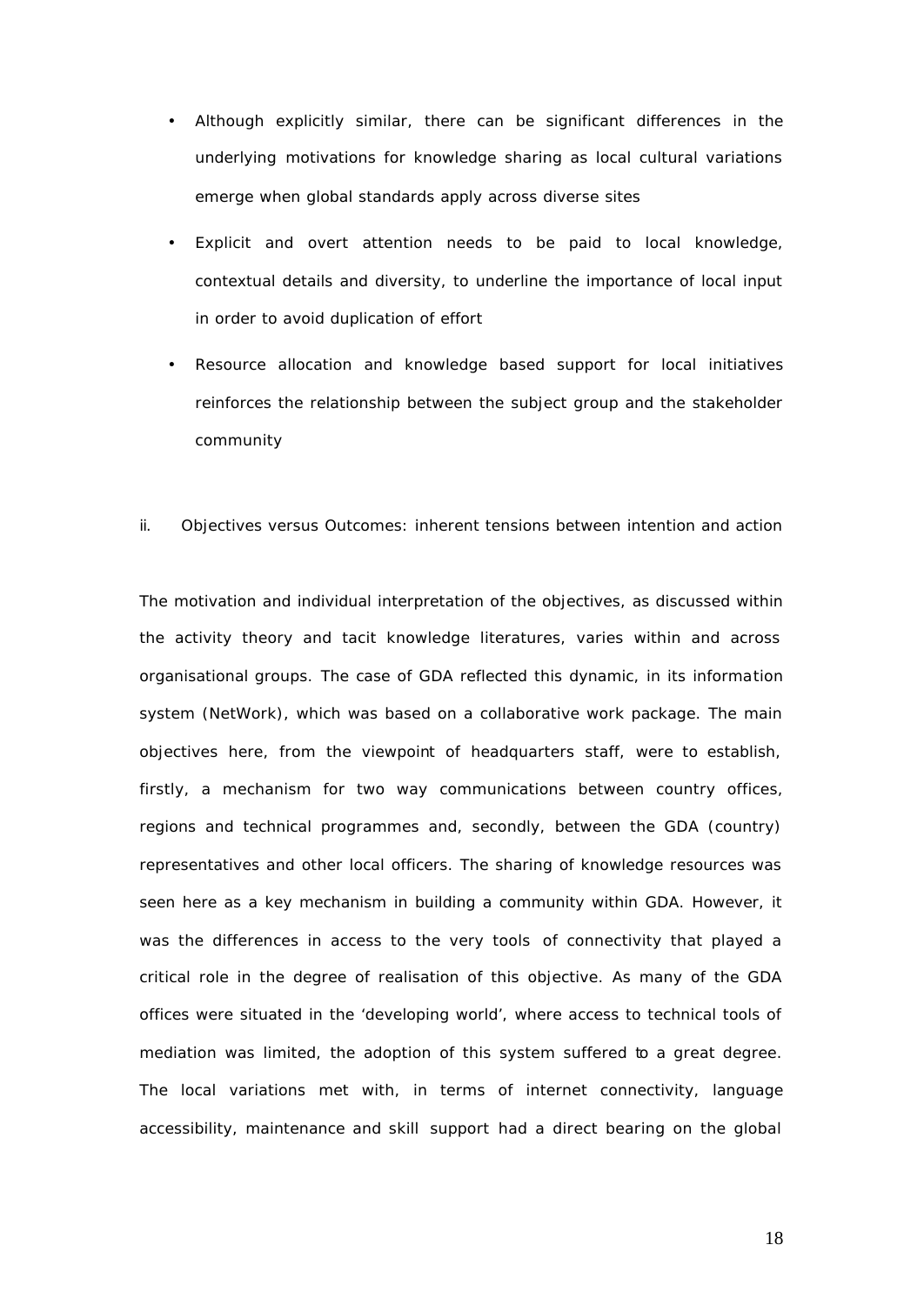- Although explicitly similar, there can be significant differences in the underlying motivations for knowledge sharing as local cultural variations emerge when global standards apply across diverse sites
- Explicit and overt attention needs to be paid to local knowledge, contextual details and diversity, to underline the importance of local input in order to avoid duplication of effort
- Resource allocation and knowledge based support for local initiatives reinforces the relationship between the subject group and the stakeholder community

#### ii. Objectives versus Outcomes: inherent tensions between intention and action

The motivation and individual interpretation of the objectives, as discussed within the activity theory and tacit knowledge literatures, varies within and across organisational groups. The case of GDA reflected this dynamic, in its information system (NetWork), which was based on a collaborative work package. The main objectives here, from the viewpoint of headquarters staff, were to establish, firstly, a mechanism for two way communications between country offices, regions and technical programmes and, secondly, between the GDA (country) representatives and other local officers. The sharing of knowledge resources was seen here as a key mechanism in building a community within GDA. However, it was the differences in access to the very tools of connectivity that played a critical role in the degree of realisation of this objective. As many of the GDA offices were situated in the 'developing world', where access to technical tools of mediation was limited, the adoption of this system suffered to a great degree. The local variations met with, in terms of internet connectivity, language accessibility, maintenance and skill support had a direct bearing on the global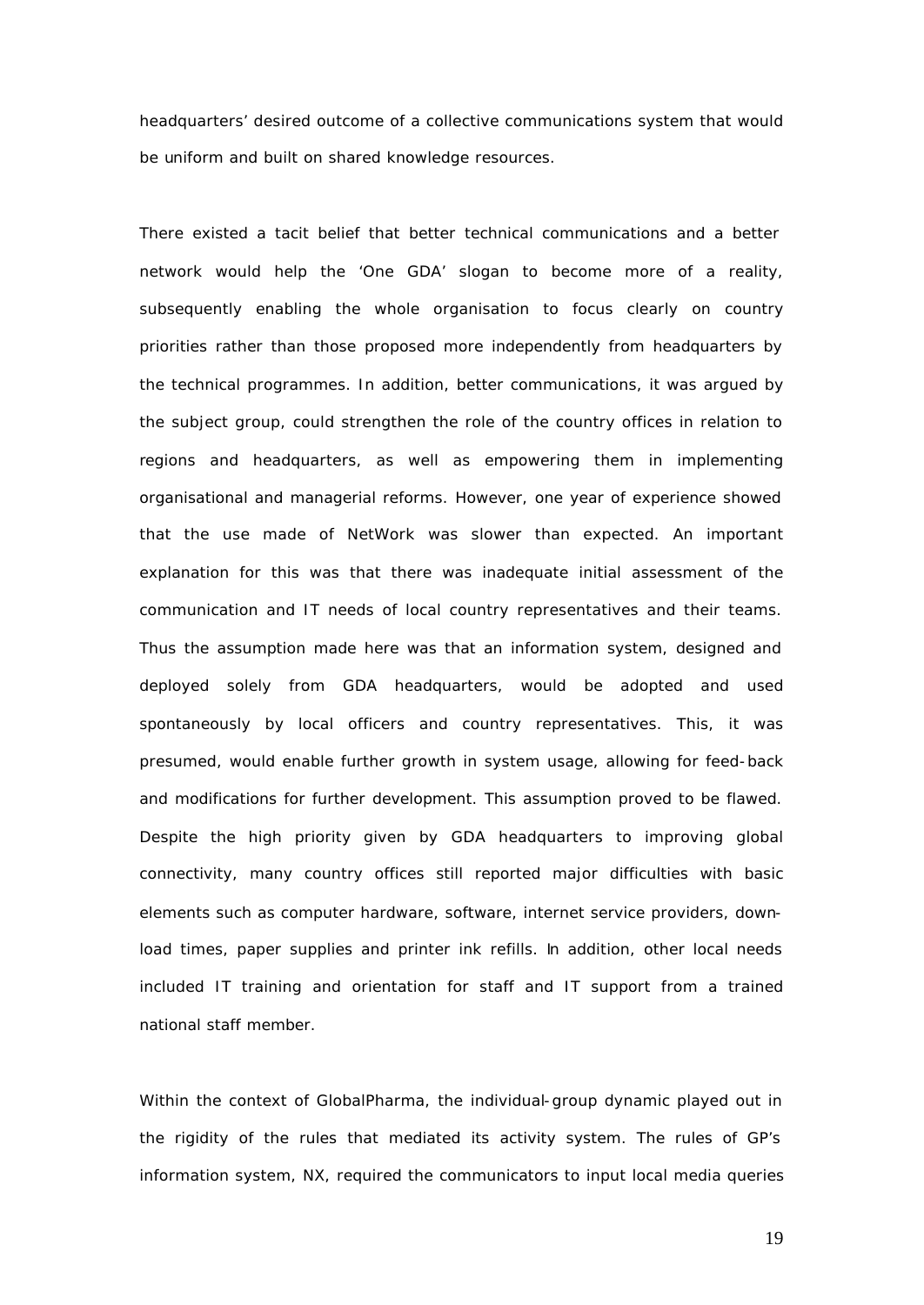headquarters' desired outcome of a collective communications system that would be uniform and built on shared knowledge resources.

There existed a tacit belief that better technical communications and a better network would help the 'One GDA' slogan to become more of a reality, subsequently enabling the whole organisation to focus clearly on country priorities rather than those proposed more independently from headquarters by the technical programmes. In addition, better communications, it was argued by the subject group, could strengthen the role of the country offices in relation to regions and headquarters, as well as empowering them in implementing organisational and managerial reforms. However, one year of experience showed that the use made of NetWork was slower than expected. An important explanation for this was that there was inadequate initial assessment of the communication and IT needs of local country representatives and their teams. Thus the assumption made here was that an information system, designed and deployed solely from GDA headquarters, would be adopted and used spontaneously by local officers and country representatives. This, it was presumed, would enable further growth in system usage, allowing for feed-back and modifications for further development. This assumption proved to be flawed. Despite the high priority given by GDA headquarters to improving global connectivity, many country offices still reported major difficulties with basic elements such as computer hardware, software, internet service providers, download times, paper supplies and printer ink refills. In addition, other local needs included IT training and orientation for staff and IT support from a trained national staff member.

Within the context of GlobalPharma, the individual-group dynamic played out in the rigidity of the rules that mediated its activity system. The rules of GP's information system, NX, required the communicators to input local media queries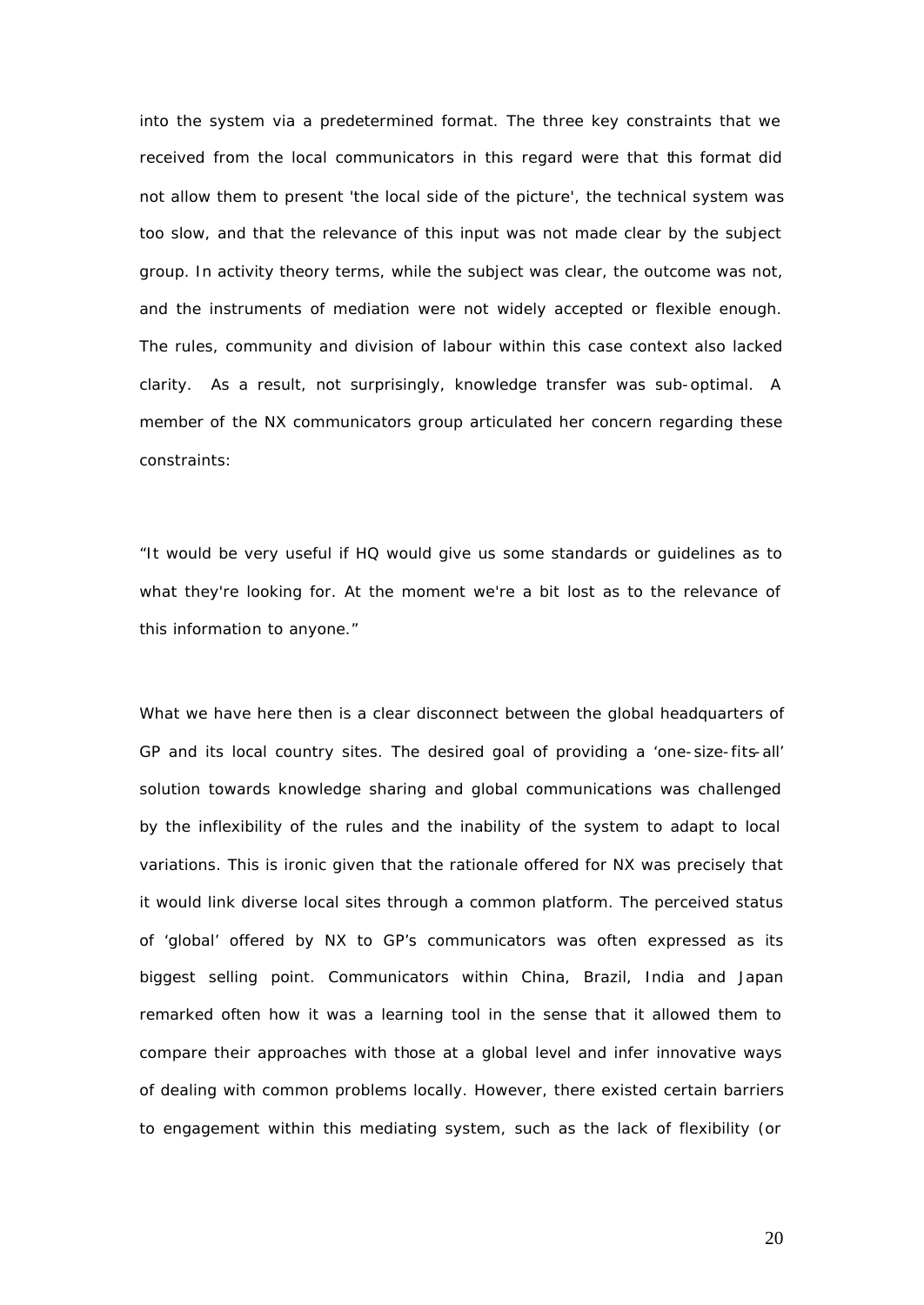into the system via a predetermined format. The three key constraints that we received from the local communicators in this regard were that this format did not allow them to present 'the local side of the picture', the technical system was too slow, and that the relevance of this input was not made clear by the subject group. In activity theory terms, while the subject was clear, the outcome was not, and the instruments of mediation were not widely accepted or flexible enough. The rules, community and division of labour within this case context also lacked clarity. As a result, not surprisingly, knowledge transfer was sub-optimal. A member of the NX communicators group articulated her concern regarding these constraints:

"*It would be very useful if HQ would give us some standards or guidelines as to*  what they're looking for. At the moment we're a bit lost as to the relevance of *this information to anyone.*"

What we have here then is a clear disconnect between the global headquarters of GP and its local country sites. The desired goal of providing a 'one-size-fits-all' solution towards knowledge sharing and global communications was challenged by the inflexibility of the rules and the inability of the system to adapt to local variations. This is ironic given that the rationale offered for NX was precisely that it would link diverse local sites through a common platform. The perceived status of 'global' offered by NX to GP's communicators was often expressed as its biggest selling point. Communicators within China, Brazil, India and Japan remarked often how it was a learning tool in the sense that it allowed them to compare their approaches with those at a global level and infer innovative ways of dealing with common problems locally. However, there existed certain barriers to engagement within this mediating system, such as the lack of flexibility (or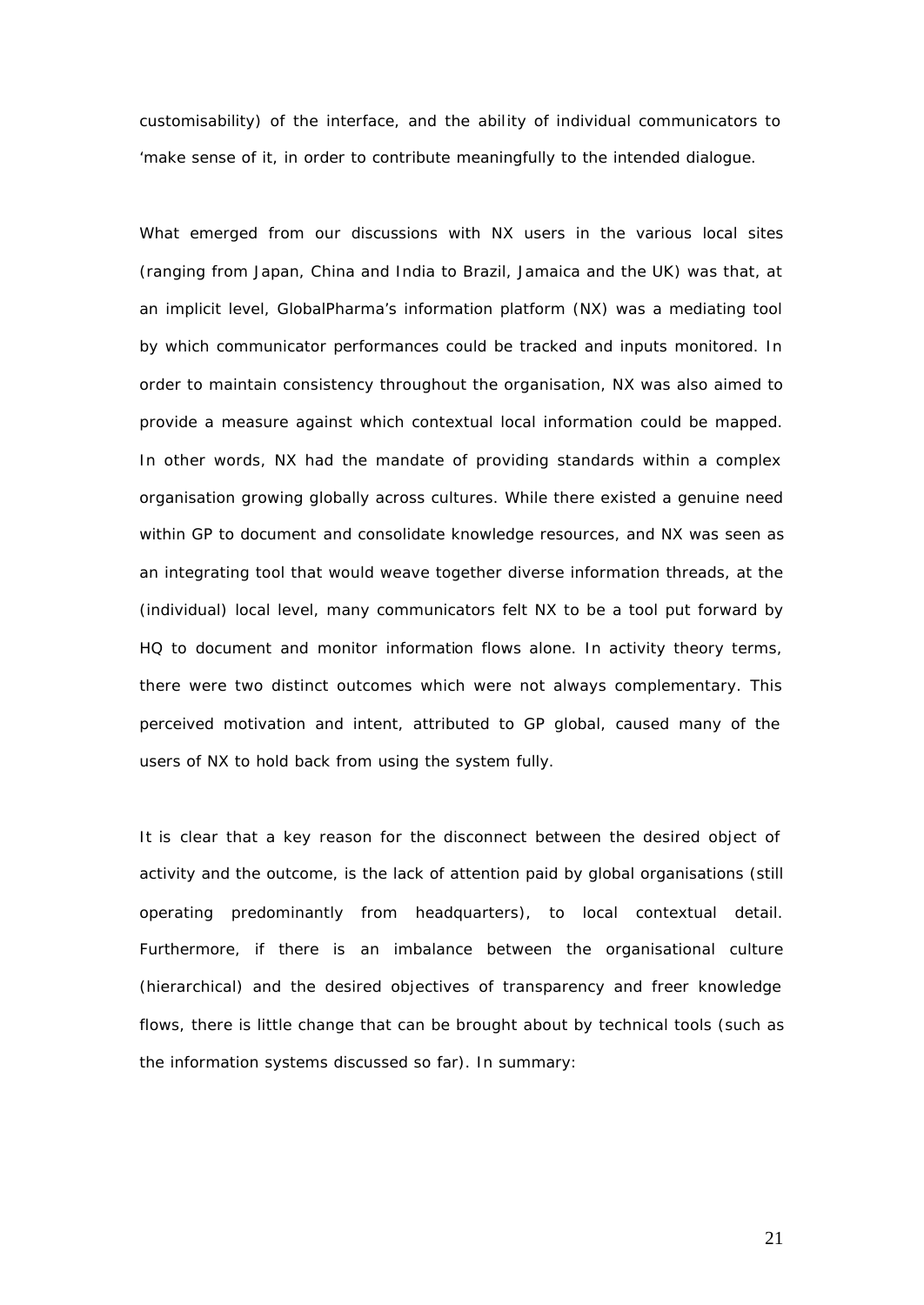customisability) of the interface, and the ability of individual communicators to 'make sense of it, in order to contribute meaningfully to the intended dialogue.

What emerged from our discussions with NX users in the various local sites (ranging from Japan, China and India to Brazil, Jamaica and the UK) was that, at an implicit level, GlobalPharma's information platform (NX) was a mediating tool by which communicator performances could be tracked and inputs monitored. In order to maintain consistency throughout the organisation, NX was also aimed to provide a measure against which contextual local information could be mapped. In other words, NX had the mandate of providing standards within a complex organisation growing globally across cultures. While there existed a genuine need within GP to document and consolidate knowledge resources, and NX was seen as an integrating tool that would weave together diverse information threads, at the (individual) local level, many communicators felt NX to be a tool put forward by HQ to document and monitor information flows alone. In activity theory terms, there were two distinct outcomes which were not always complementary. This perceived motivation and intent, attributed to GP global, caused many of the users of NX to hold back from using the system fully.

It is clear that a key reason for the disconnect between the desired object of activity and the outcome, is the lack of attention paid by global organisations (still operating predominantly from headquarters), to local contextual detail. Furthermore, if there is an imbalance between the organisational culture (hierarchical) and the desired objectives of transparency and freer knowledge flows, there is little change that can be brought about by technical tools (such as the information systems discussed so far). In summary: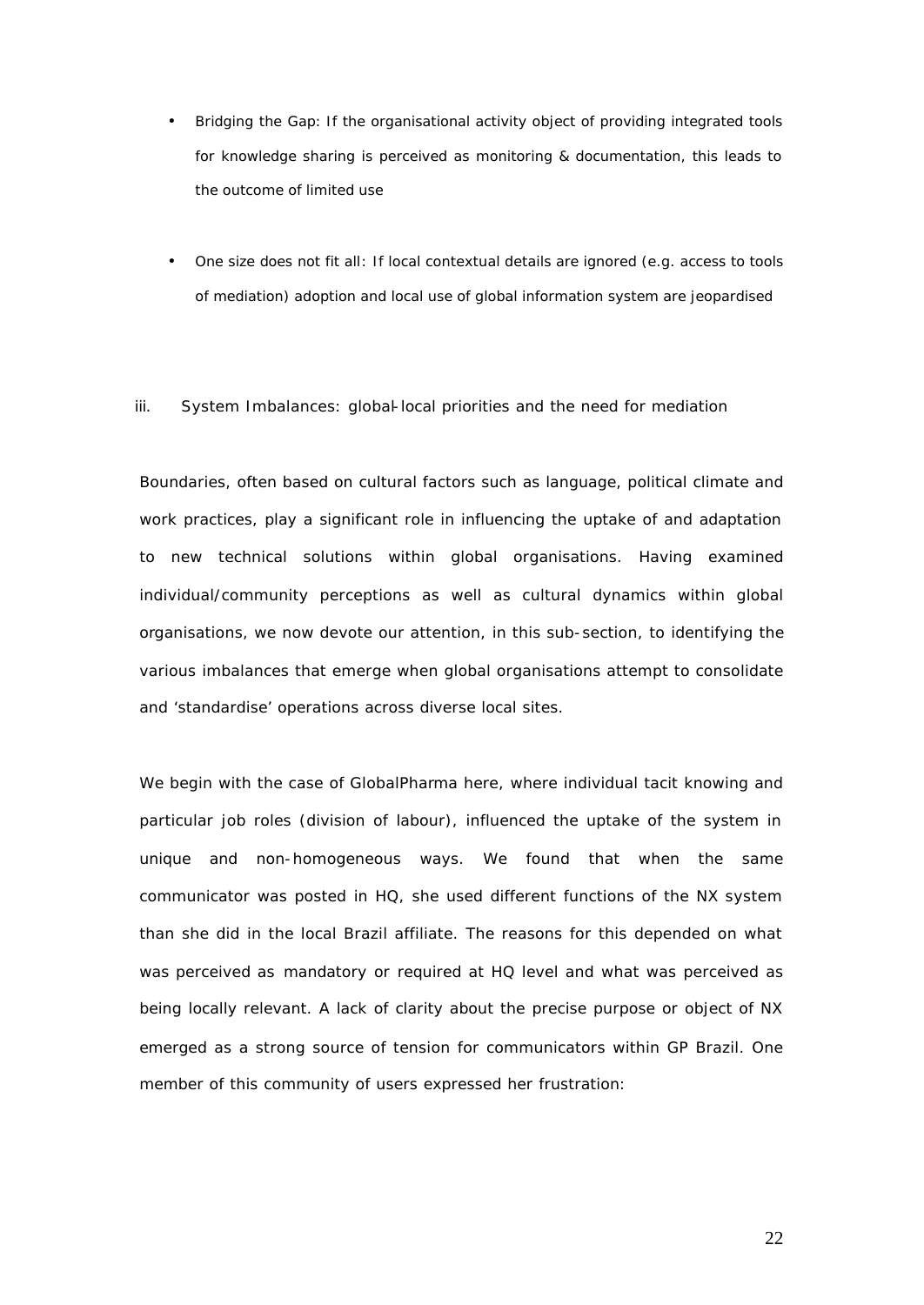- *Bridging the Gap:* If the organisational activity object of providing integrated tools for knowledge sharing is perceived as monitoring & documentation, this leads to the outcome of limited use
- *One size does not fit all*: If local contextual details are ignored (e.g. access to tools of mediation) adoption and local use of global information system are jeopardised

#### iii. System Imbalances: global-local priorities and the need for mediation

Boundaries, often based on cultural factors such as language, political climate and work practices, play a significant role in influencing the uptake of and adaptation to new technical solutions within global organisations. Having examined individual/community perceptions as well as cultural dynamics within global organisations, we now devote our attention, in this sub-section, to identifying the various imbalances that emerge when global organisations attempt to consolidate and 'standardise' operations across diverse local sites.

We begin with the case of GlobalPharma here, where individual tacit knowing and particular job roles (division of labour), influenced the uptake of the system in unique and non-homogeneous ways. We found that when the same communicator was posted in HQ, she used different functions of the NX system than she did in the local Brazil affiliate. The reasons for this depended on what was perceived as mandatory or required at HQ level and what was perceived as being locally relevant. A lack of clarity about the precise purpose or object of NX emerged as a strong source of tension for communicators within GP Brazil. One member of this community of users expressed her frustration: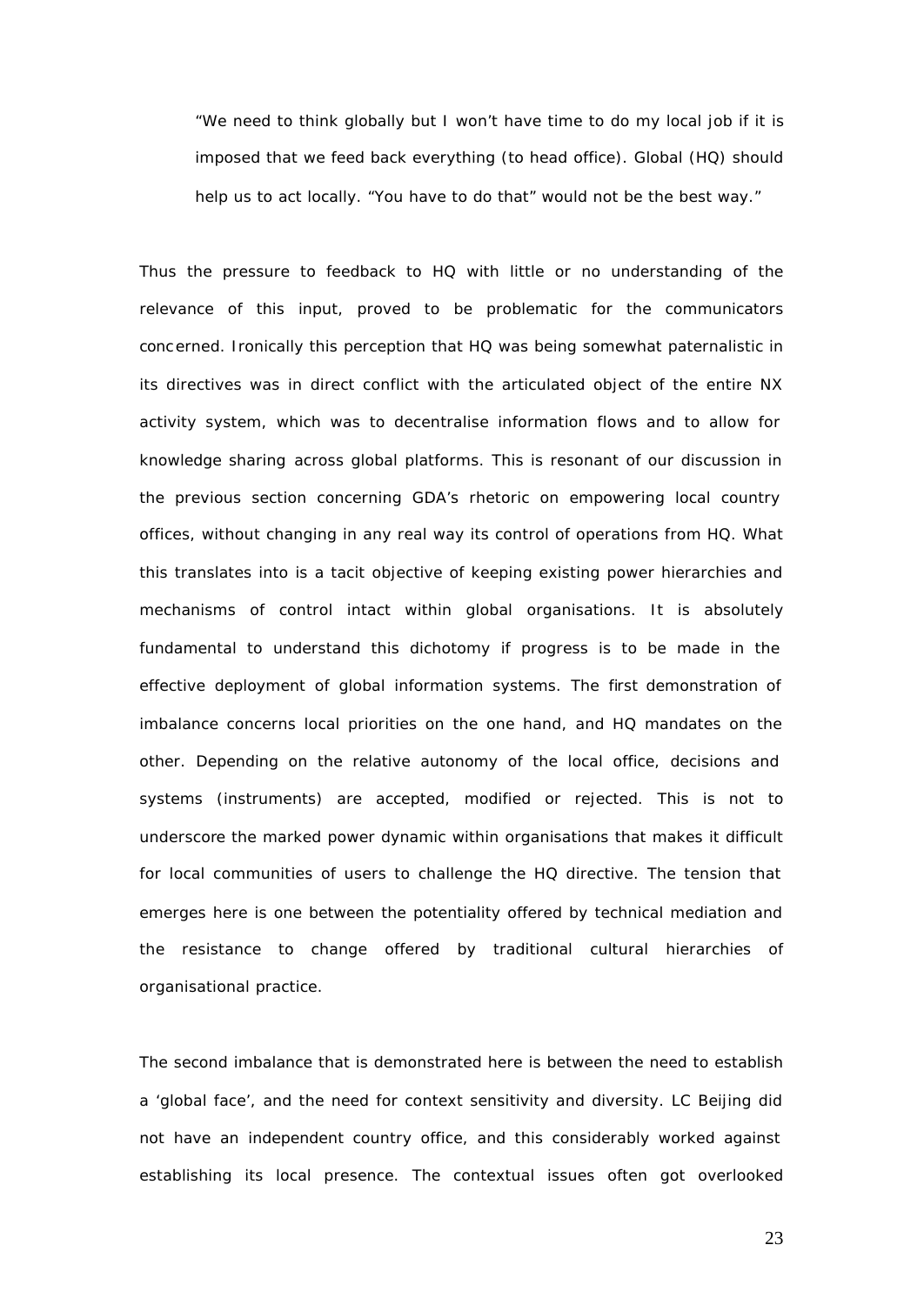*"We need to think globally but I won't have time to do my local job if it is imposed that we feed back everything (to head office). Global (HQ) should help us to act locally. "You have to do that" would not be the best way."*

Thus the pressure to feedback to HQ with little or no understanding of the relevance of this input, proved to be problematic for the communicators concerned. Ironically this perception that HQ was being somewhat paternalistic in its directives was in direct conflict with the articulated object of the entire NX activity system, which was to decentralise information flows and to allow for knowledge sharing across global platforms. This is resonant of our discussion in the previous section concerning GDA's rhetoric on empowering local country offices, without changing in any real way its control of operations from HQ. What this translates into is a tacit objective of keeping existing power hierarchies and mechanisms of control intact within global organisations. It is absolutely fundamental to understand this dichotomy if progress is to be made in the effective deployment of global information systems. The first demonstration of imbalance concerns local priorities on the one hand, and HQ mandates on the other. Depending on the relative autonomy of the local office, decisions and systems (instruments) are accepted, modified or rejected. This is not to underscore the marked power dynamic within organisations that makes it difficult for local communities of users to challenge the HQ directive. The tension that emerges here is one between the potentiality offered by technical mediation and the resistance to change offered by traditional cultural hierarchies of organisational practice.

The second imbalance that is demonstrated here is between the need to establish a 'global face', and the need for context sensitivity and diversity. LC Beijing did not have an independent country office, and this considerably worked against establishing its local presence. The contextual issues often got overlooked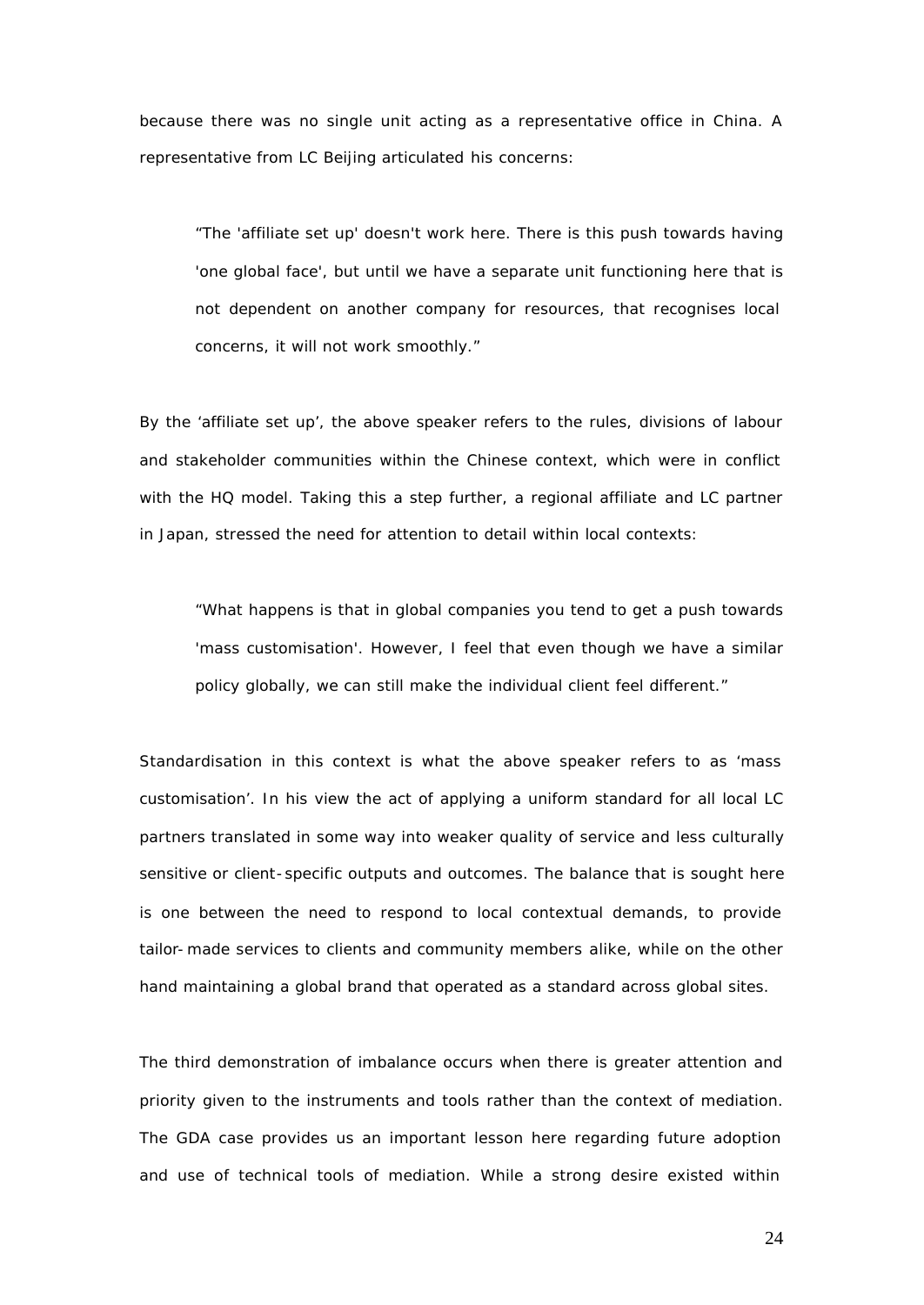because there was no single unit acting as a representative office in China. A representative from LC Beijing articulated his concerns:

*"The 'affiliate set up' doesn't work here. There is this push towards having*  'one global face', but until we have a separate unit functioning here that is *not dependent on another company for resources, that recognises local concerns, it will not work smoothly."*

By the 'affiliate set up', the above speaker refers to the rules, divisions of labour and stakeholder communities within the Chinese context, which were in conflict with the HQ model. Taking this a step further, a regional affiliate and LC partner in Japan, stressed the need for attention to detail within local contexts:

*"What happens is that in global companies you tend to get a push towards 'mass customisation'. However, I feel that even though we have a similar policy globally, we can still make the individual client feel different."* 

Standardisation in this context is what the above speaker refers to as 'mass customisation'. In his view the act of applying a uniform standard for all local LC partners translated in some way into weaker quality of service and less culturally sensitive or client-specific outputs and outcomes. The balance that is sought here is one between the need to respond to local contextual demands, to provide tailor-made services to clients and community members alike, while on the other hand maintaining a global brand that operated as a standard across global sites.

The third demonstration of imbalance occurs when there is greater attention and priority given to the instruments and tools rather than the context of mediation. The GDA case provides us an important lesson here regarding future adoption and use of technical tools of mediation. While a strong desire existed within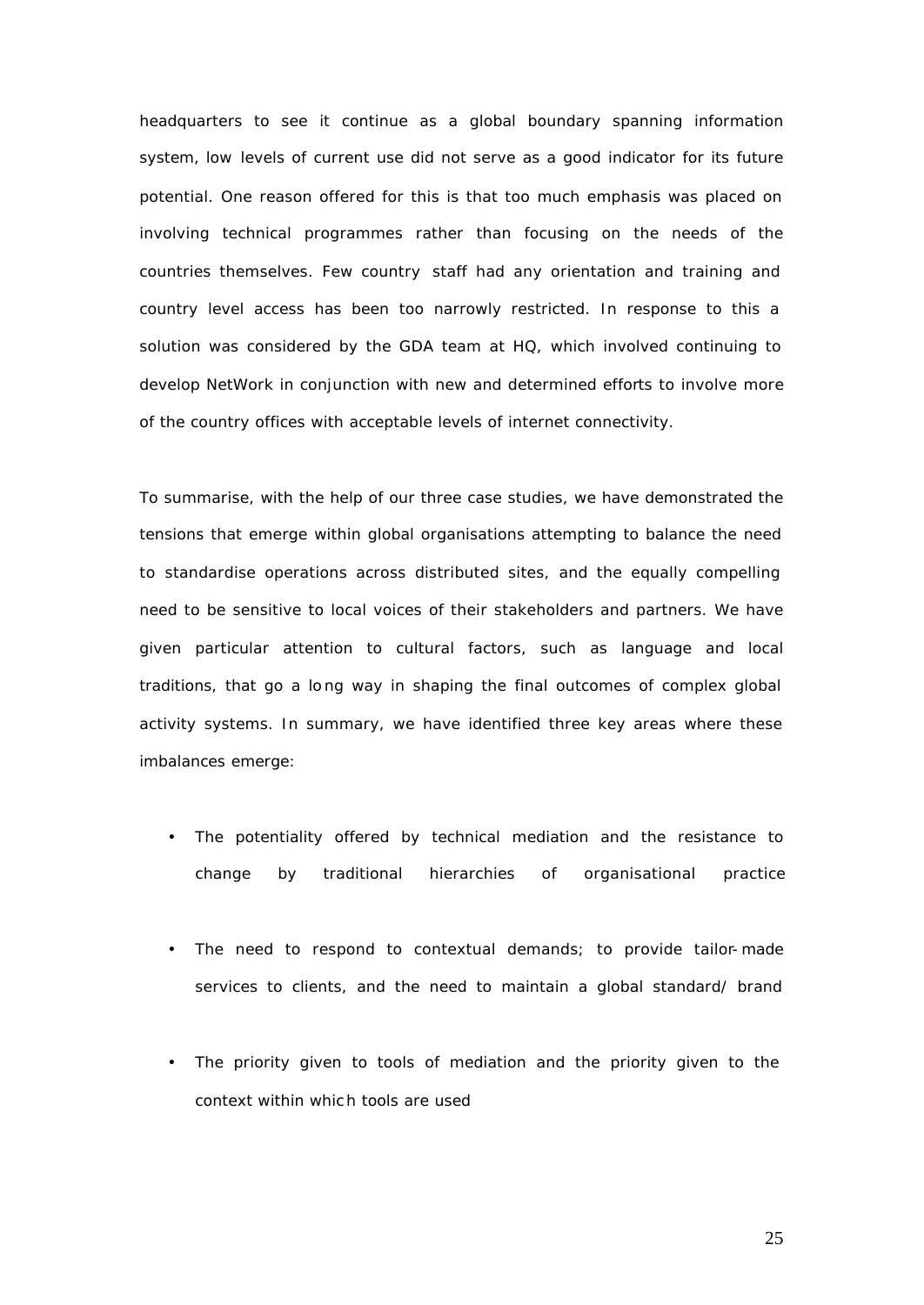headquarters to see it continue as a global boundary spanning information system, low levels of current use did not serve as a good indicator for its future potential. One reason offered for this is that too much emphasis was placed on involving technical programmes rather than focusing on the needs of the countries themselves. Few country staff had any orientation and training and country level access has been too narrowly restricted. In response to this a solution was considered by the GDA team at HQ, which involved continuing to develop NetWork in conjunction with new and determined efforts to involve more of the country offices with acceptable levels of internet connectivity.

To summarise, with the help of our three case studies, we have demonstrated the tensions that emerge within global organisations attempting to balance the need to standardise operations across distributed sites, and the equally compelling need to be sensitive to local voices of their stakeholders and partners. We have given particular attention to cultural factors, such as language and local traditions, that go a long way in shaping the final outcomes of complex global activity systems. In summary, we have identified three key areas where these imbalances emerge:

- The potentiality offered by technical mediation and the resistance to change by traditional hierarchies of organisational practice
- The need to respond to contextual demands; to provide tailor-made services to clients, and the need to maintain a global standard/ brand
- The priority given to tools of mediation and the priority given to the context within whic h tools are used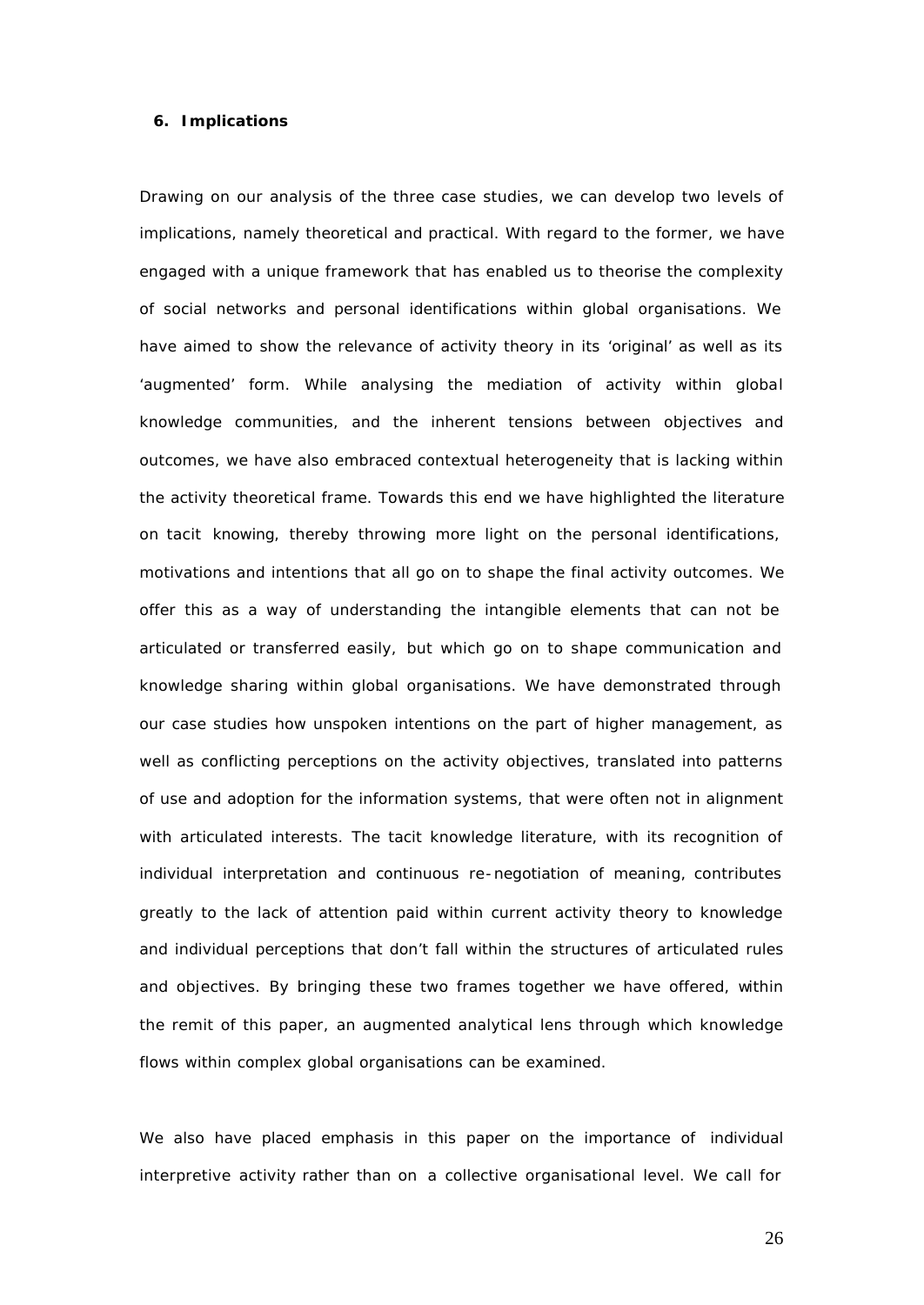#### **6. Implications**

Drawing on our analysis of the three case studies, we can develop two levels of implications, namely theoretical and practical. With regard to the former, we have engaged with a unique framework that has enabled us to theorise the complexity of social networks and personal identifications within global organisations. We have aimed to show the relevance of activity theory in its 'original' as well as its 'augmented' form. While analysing the mediation of activity within global knowledge communities, and the inherent tensions between objectives and outcomes, we have also embraced contextual heterogeneity that is lacking within the activity theoretical frame. Towards this end we have highlighted the literature on tacit knowing*,* thereby throwing more light on the personal identifications, motivations and intentions that all go on to shape the final activity outcomes. We offer this as a way of understanding the intangible elements that can not be articulated or transferred easily, but which go on to shape communication and knowledge sharing within global organisations. We have demonstrated through our case studies how unspoken intentions on the part of higher management, as well as conflicting perceptions on the activity objectives, translated into patterns of use and adoption for the information systems, that were often not in alignment with articulated interests. The tacit knowledge literature, with its recognition of individual interpretation and continuous re-negotiation of meaning, contributes greatly to the lack of attention paid within current activity theory to knowledge and individual perceptions that don't fall within the structures of articulated rules and objectives. By bringing these two frames together we have offered, within the remit of this paper, an augmented analytical lens through which knowledge flows within complex global organisations can be examined.

We also have placed emphasis in this paper on the importance of individual interpretive activity rather than on a collective organisational level. We call for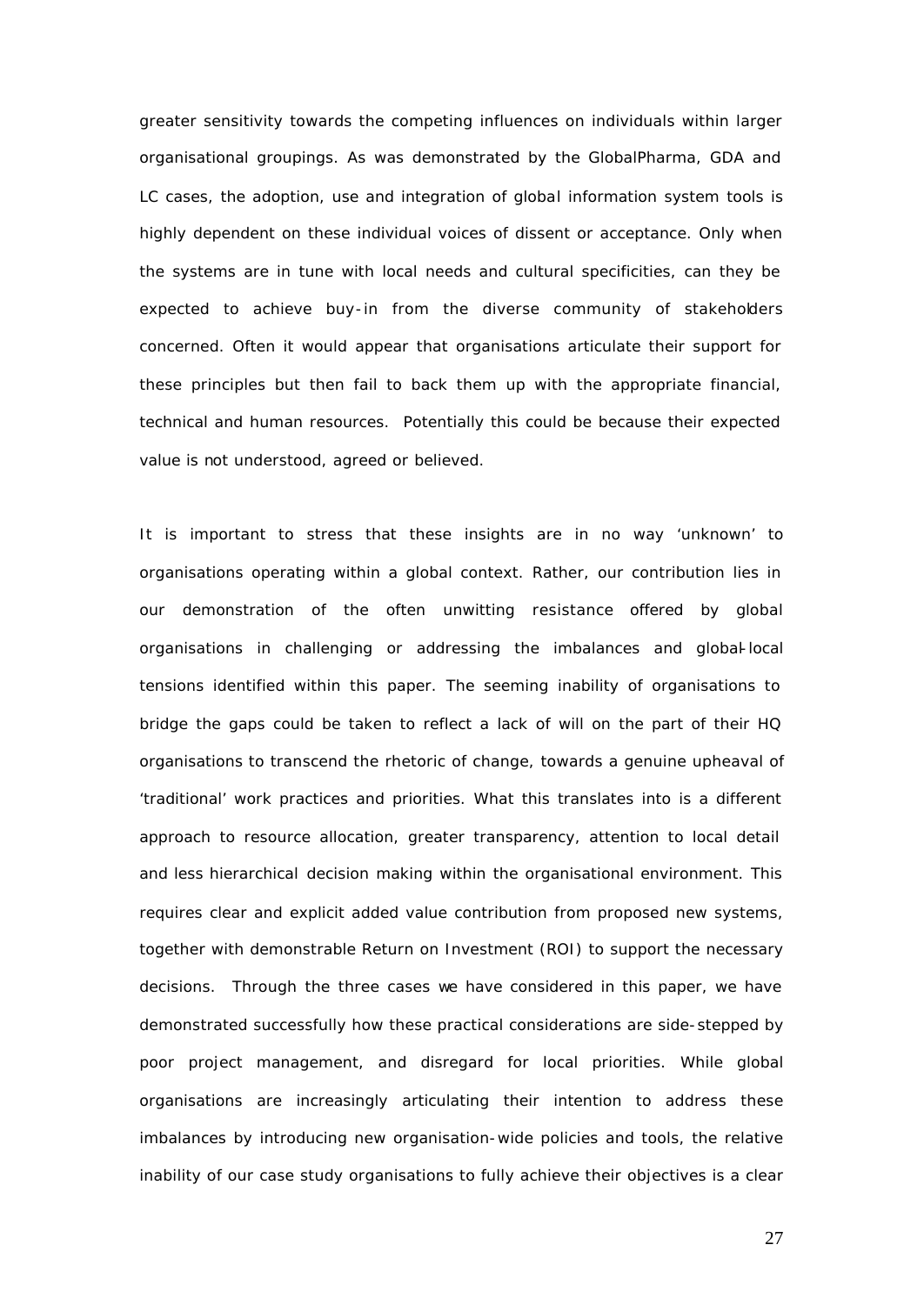greater sensitivity towards the competing influences on individuals within larger organisational groupings. As was demonstrated by the GlobalPharma, GDA and LC cases, the adoption, use and integration of global information system tools is highly dependent on these individual voices of dissent or acceptance. Only when the systems are in tune with local needs and cultural specificities, can they be expected to achieve buy-in from the diverse community of stakeholders concerned. Often it would appear that organisations articulate their support for these principles but then fail to back them up with the appropriate financial, technical and human resources. Potentially this could be because their expected value is not understood, agreed or believed.

It is important to stress that these insights are in no way 'unknown' to organisations operating within a global context. Rather, our contribution lies in our demonstration of the often unwitting resistance offered by global organisations in challenging or addressing the imbalances and global-local tensions identified within this paper. The seeming inability of organisations to bridge the gaps could be taken to reflect a lack of will on the part of their HQ organisations to transcend the rhetoric of change, towards a genuine upheaval of 'traditional' work practices and priorities. What this translates into is a different approach to resource allocation, greater transparency, attention to local detail and less hierarchical decision making within the organisational environment. This requires clear and explicit added value contribution from proposed new systems, together with demonstrable Return on Investment (ROI) to support the necessary decisions. Through the three cases we have considered in this paper, we have demonstrated successfully how these practical considerations are side-stepped by poor project management, and disregard for local priorities. While global organisations are increasingly articulating their intention to address these imbalances by introducing new organisation-wide policies and tools, the relative inability of our case study organisations to fully achieve their objectives is a clear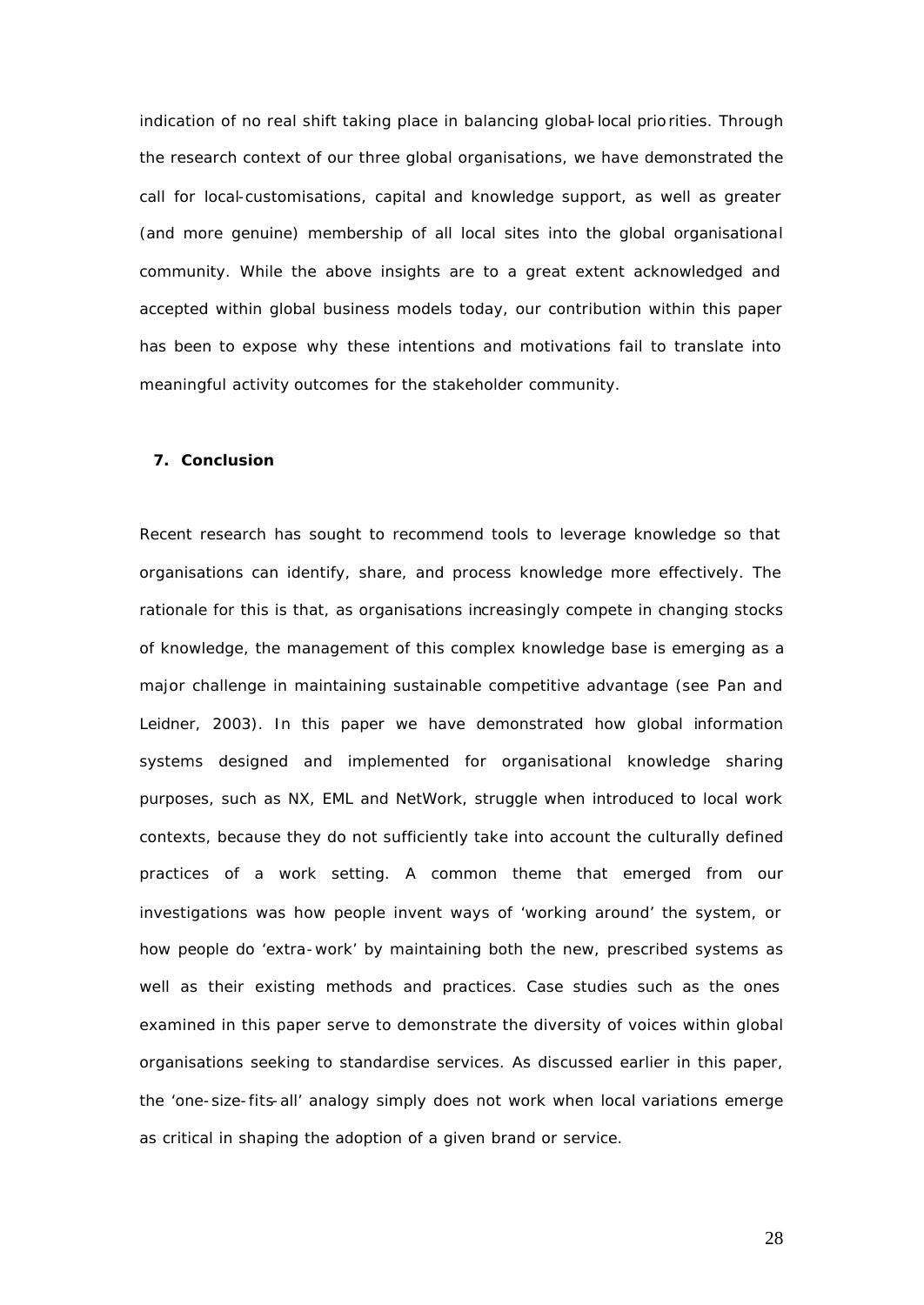indication of no real shift taking place in balancing global-local priorities. Through the research context of our three global organisations, we have demonstrated the call for local-customisations, capital and knowledge support, as well as greater (and more genuine) membership of all local sites into the global organisational community. While the above insights are to a great extent acknowledged and accepted within global business models today, our contribution within this paper has been to expose why these intentions and motivations fail to translate into meaningful activity outcomes for the stakeholder community.

#### **7. Conclusion**

Recent research has sought to recommend tools to leverage knowledge so that organisations can identify, share, and process knowledge more effectively. The rationale for this is that, as organisations increasingly compete in changing stocks of knowledge, the management of this complex knowledge base is emerging as a major challenge in maintaining sustainable competitive advantage (see Pan and Leidner, 2003). In this paper we have demonstrated how global information systems designed and implemented for organisational knowledge sharing purposes, such as NX, EML and NetWork, struggle when introduced to local work contexts, because they do not sufficiently take into account the culturally defined practices of a work setting. A common theme that emerged from our investigations was how people invent ways of 'working around' the system, or how people do 'extra-work' by maintaining both the new, prescribed systems as well as their existing methods and practices. Case studies such as the ones examined in this paper serve to demonstrate the diversity of voices within global organisations seeking to standardise services. As discussed earlier in this paper, the 'one-size-fits-all' analogy simply does not work when local variations emerge as critical in shaping the adoption of a given brand or service.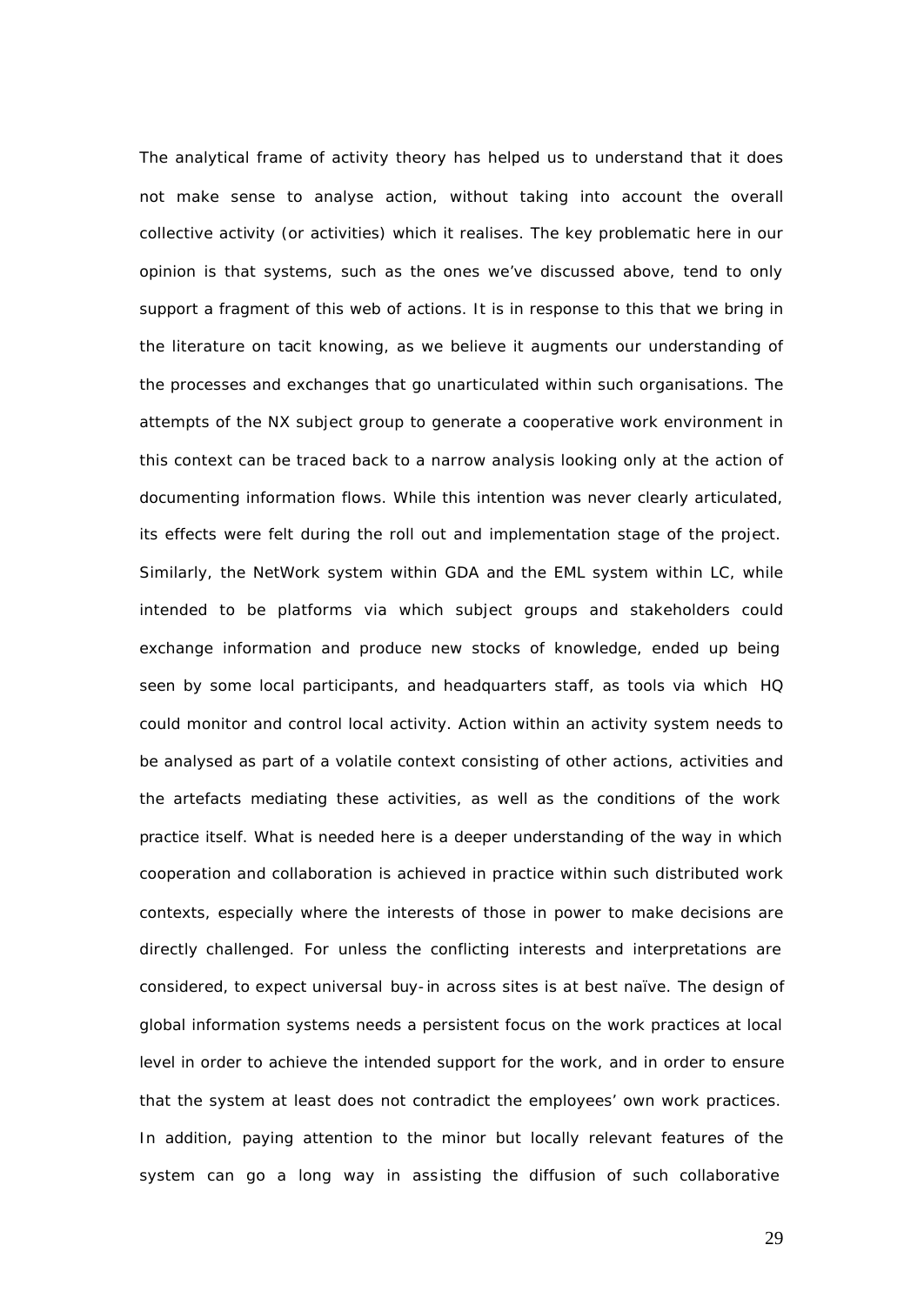The analytical frame of activity theory has helped us to understand that it does not make sense to analyse action, without taking into account the overall collective activity (or activities) which it realises. The key problematic here in our opinion is that systems, such as the ones we've discussed above, tend to only support a fragment of this web of actions. It is in response to this that we bring in the literature on tacit knowing, as we believe it augments our understanding of the processes and exchanges that go unarticulated within such organisations. The attempts of the NX subject group to generate a cooperative work environment in this context can be traced back to a narrow analysis looking only at the action of documenting information flows. While this intention was never clearly articulated, its effects were felt during the roll out and implementation stage of the project. Similarly, the NetWork system within GDA and the EML system within LC, while intended to be platforms via which subject groups and stakeholders could exchange information and produce new stocks of knowledge, ended up being seen by some local participants, and headquarters staff, as tools via which HQ could monitor and control local activity. Action within an activity system needs to be analysed as part of a volatile context consisting of other actions, activities and the artefacts mediating these activities, as well as the conditions of the work practice itself. What is needed here is a deeper understanding of the way in which cooperation and collaboration is achieved in practice within such distributed work contexts, especially where the interests of those in power to make decisions are directly challenged. For unless the conflicting interests and interpretations are considered, to expect universal *buy-in* across sites is at best naïve. The design of global information systems needs a persistent focus on the work practices at local level in order to achieve the intended support for the work, and in order to ensure that the system at least does not contradict the employees' own work practices. In addition, paying attention to the minor but locally relevant features of the system can go a long way in assisting the diffusion of such collaborative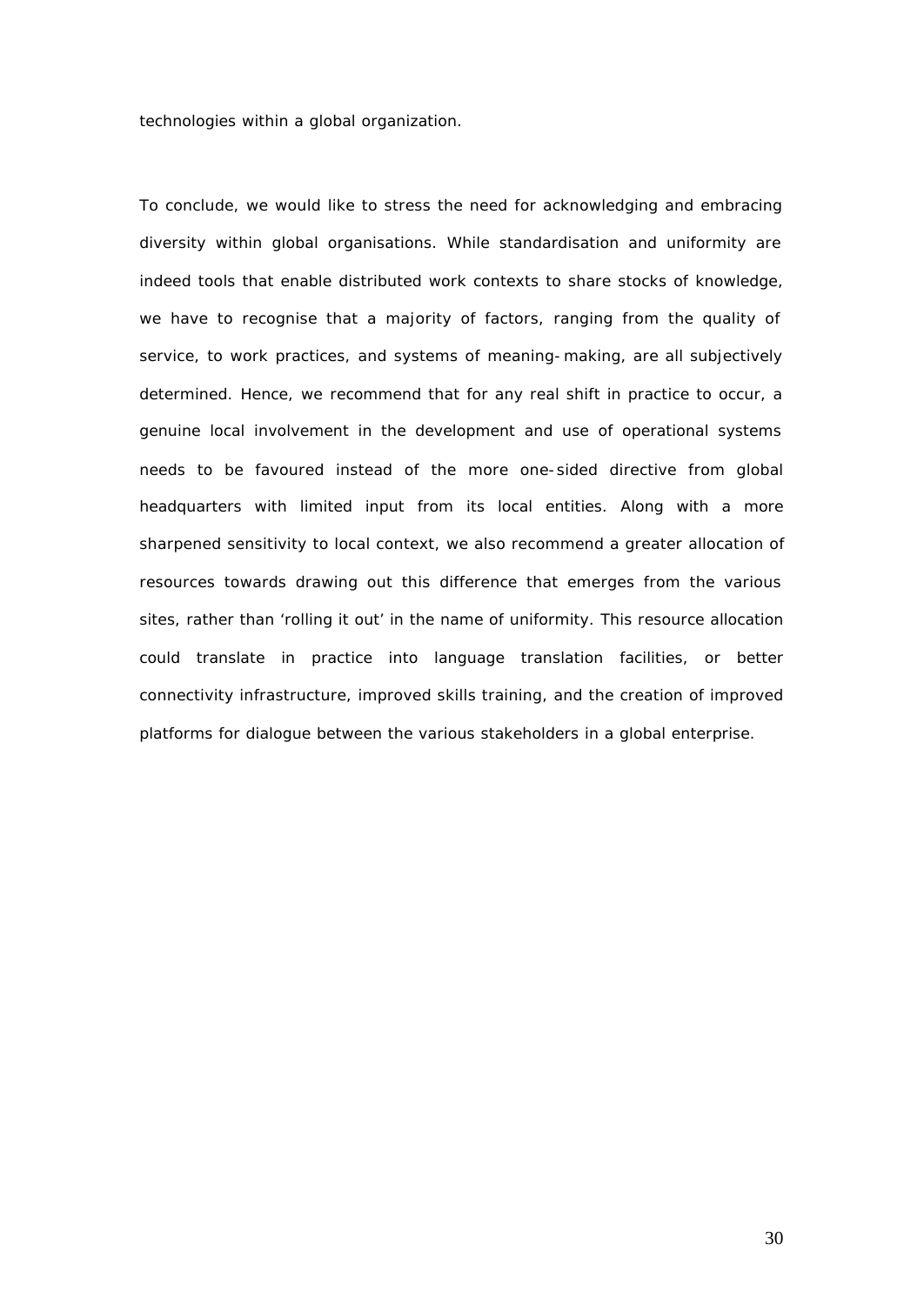technologies within a global organization.

To conclude, we would like to stress the need for acknowledging and embracing diversity within global organisations. While standardisation and uniformity are indeed tools that enable distributed work contexts to share stocks of knowledge, we have to recognise that a majority of factors, ranging from the quality of service, to work practices, and systems of meaning-making, are all subjectively determined. Hence, we recommend that for any real shift in practice to occur, a genuine local involvement in the development and use of operational systems needs to be favoured instead of the more one-sided directive from global headquarters with limited input from its local entities. Along with a more sharpened sensitivity to local context, we also recommend a greater allocation of resources towards drawing out this difference that emerges from the various sites, rather than 'rolling it out' in the name of uniformity. This resource allocation could translate in practice into language translation facilities, or better connectivity infrastructure, improved skills training, and the creation of improved platforms for dialogue between the various stakeholders in a global enterprise.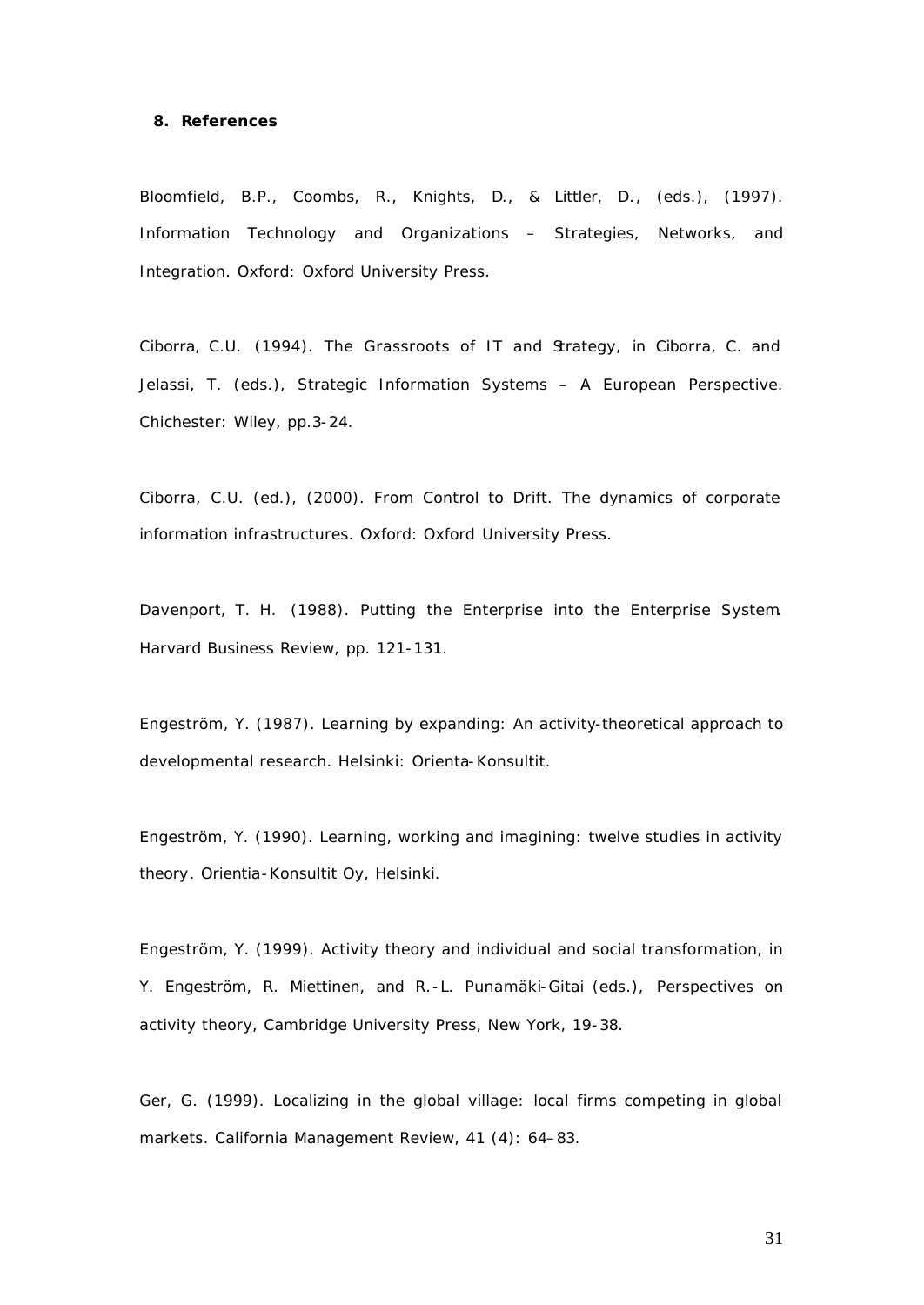#### **8. References**

Bloomfield, B.P., Coombs, R., Knights, D., & Littler, D., (eds.), (1997). Information Technology and Organizations – Strategies, Networks, and Integration. Oxford: Oxford University Press.

Ciborra, C.U. (1994). The Grassroots of IT and Strategy, in Ciborra, C. and Jelassi, T. (eds.), Strategic Information Systems – A European Perspective. Chichester: Wiley, pp.3-24.

Ciborra, C.U. (ed.), (2000). From Control to Drift. The dynamics of corporate information infrastructures. Oxford: Oxford University Press.

Davenport, T. H. (1988). Putting the Enterprise into the Enterprise System. Harvard Business Review, pp. 121-131.

Engeström, Y. (1987). Learning by expanding: An activity-theoretical approach to developmental research. Helsinki: Orienta-Konsultit.

Engeström, Y. (1990). Learning, working and imagining: twelve studies in activity theory. Orientia-Konsultit Oy, Helsinki.

Engeström, Y. (1999). Activity theory and individual and social transformation, in Y. Engeström, R. Miettinen, and R.-L. Punamäki-Gitai (eds.), *Perspectives on activity theory,* Cambridge University Press, New York, 19-38.

Ger, G. (1999). Localizing in the global village: local firms competing in global markets. California Management Review, 41 (4): 64–83.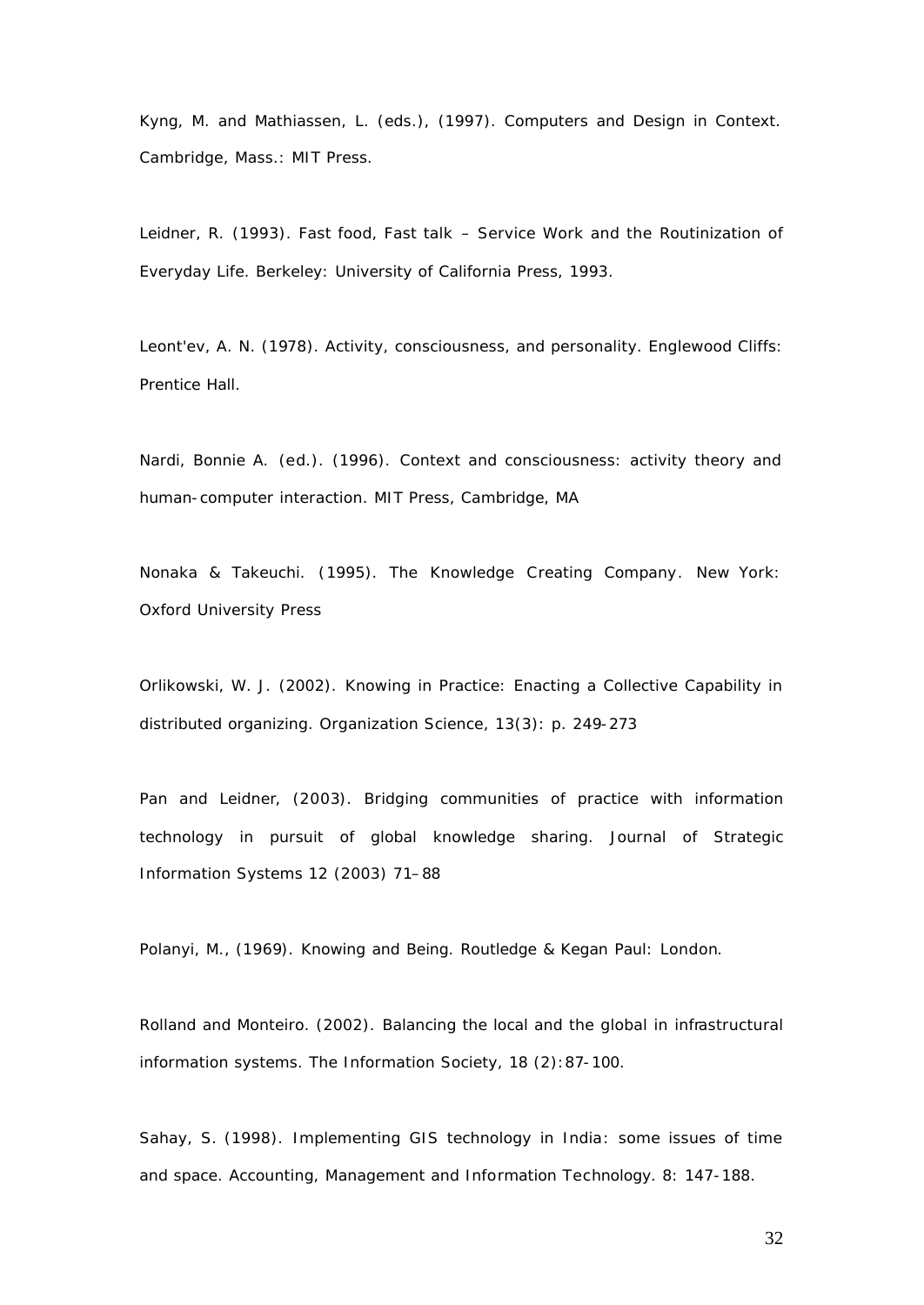Kyng, M. and Mathiassen, L. (eds.), (1997). Computers and Design in Context. Cambridge, Mass.: MIT Press.

Leidner, R. (1993). Fast food, Fast talk – Service Work and the Routinization of Everyday Life. Berkeley: University of California Press, 1993.

Leont'ev, A. N. (1978). Activity, consciousness, and personality. Englewood Cliffs: Prentice Hall.

Nardi, Bonnie A. *(*ed*.)*. (1996). Context and consciousness: activity theory and human-computer interaction. MIT Press, Cambridge, MA

Nonaka & Takeuchi. (1995). The Knowledge Creating Company*.* New York: Oxford University Press

Orlikowski, W. J. (2002). Knowing in Practice: Enacting a Collective Capability in distributed organizing. Organization Science, 13(3): p. 249-273

Pan and Leidner, (2003). Bridging communities of practice with information technology in pursuit of global knowledge sharing. Journal of Strategic Information Systems 12 (2003) 71–88

Polanyi, M., (1969). Knowing and Being. Routledge & Kegan Paul: London.

Rolland and Monteiro. (2002). Balancing the local and the global in infrastructural information systems. The Information Society, 18 (2):87-100.

Sahay, S. (1998). Implementing GIS technology in India: some issues of time and space. Accounting, Management and Information Technology. 8: 147-188.